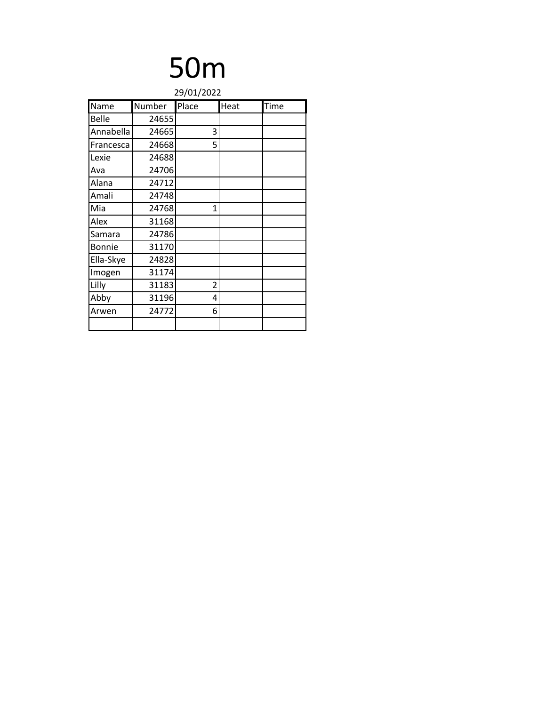|              | 29/01/2022 |       |      |      |
|--------------|------------|-------|------|------|
| Name         | Number     | Place | Heat | Time |
| <b>Belle</b> | 24655      |       |      |      |
| Annabella    | 24665      | 3     |      |      |
| Francesca    | 24668      | 5     |      |      |
| Lexie        | 24688      |       |      |      |
| Ava          | 24706      |       |      |      |
| Alana        | 24712      |       |      |      |
| Amali        | 24748      |       |      |      |
| Mia          | 24768      | 1     |      |      |
| Alex         | 31168      |       |      |      |
| Samara       | 24786      |       |      |      |
| Bonnie       | 31170      |       |      |      |
| Ella-Skye    | 24828      |       |      |      |
| Imogen       | 31174      |       |      |      |
| Lilly        | 31183      | 2     |      |      |
| Abby         | 31196      | 4     |      |      |
| Arwen        | 24772      | 6     |      |      |
|              |            |       |      |      |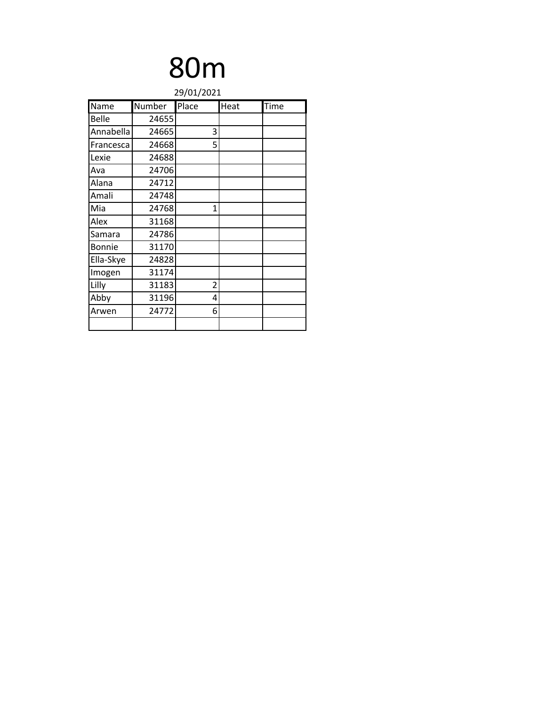|              | 29/01/2021 |       |      |      |
|--------------|------------|-------|------|------|
| Name         | Number     | Place | Heat | Time |
| <b>Belle</b> | 24655      |       |      |      |
| Annabella    | 24665      | 3     |      |      |
| Francesca    | 24668      | 5     |      |      |
| Lexie        | 24688      |       |      |      |
| Ava          | 24706      |       |      |      |
| Alana        | 24712      |       |      |      |
| Amali        | 24748      |       |      |      |
| Mia          | 24768      | 1     |      |      |
| Alex         | 31168      |       |      |      |
| Samara       | 24786      |       |      |      |
| Bonnie       | 31170      |       |      |      |
| Ella-Skye    | 24828      |       |      |      |
| Imogen       | 31174      |       |      |      |
| Lilly        | 31183      | 2     |      |      |
| Abby         | 31196      | 4     |      |      |
| Arwen        | 24772      | 6     |      |      |
|              |            |       |      |      |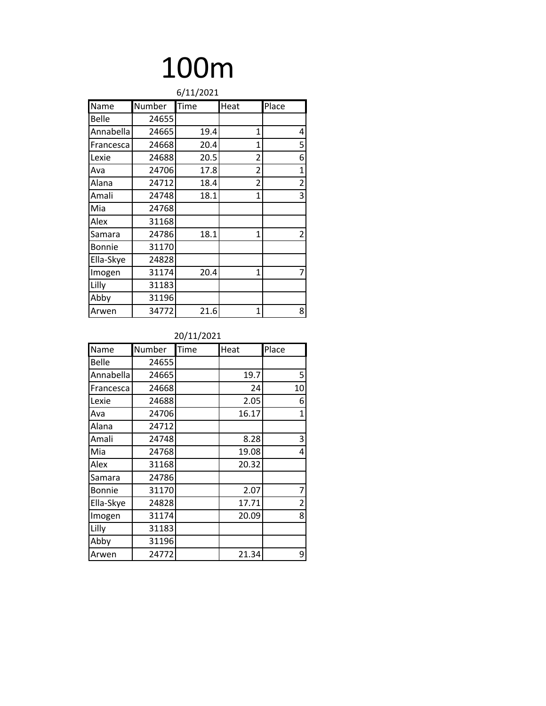| 6/11/2021     |        |      |              |                |
|---------------|--------|------|--------------|----------------|
| Name          | Number | Time | Heat         | Place          |
| <b>Belle</b>  | 24655  |      |              |                |
| Annabella     | 24665  | 19.4 | $\mathbf{1}$ | 4              |
| Francesca     | 24668  | 20.4 | 1            | 5              |
| Lexie         | 24688  | 20.5 | 2            | 6              |
| Ava           | 24706  | 17.8 | 2            | $\mathbf 1$    |
| Alana         | 24712  | 18.4 | 2            | $\overline{2}$ |
| Amali         | 24748  | 18.1 | 1            | 3              |
| Mia           | 24768  |      |              |                |
| Alex          | 31168  |      |              |                |
| Samara        | 24786  | 18.1 | 1            | $\overline{2}$ |
| <b>Bonnie</b> | 31170  |      |              |                |
| Ella-Skye     | 24828  |      |              |                |
| Imogen        | 31174  | 20.4 | $\mathbf{1}$ | 7              |
| Lilly         | 31183  |      |              |                |
| Abby          | 31196  |      |              |                |
| Arwen         | 34772  | 21.6 | $\mathbf{1}$ | 8              |

| Name          | Number | Time | Heat  | Place |
|---------------|--------|------|-------|-------|
| Belle         | 24655  |      |       |       |
| Annabella     | 24665  |      | 19.7  | 5     |
| Francesca     | 24668  |      | 24    | 10    |
| Lexie         | 24688  |      | 2.05  | 6     |
| Ava           | 24706  |      | 16.17 | 1     |
| Alana         | 24712  |      |       |       |
| Amali         | 24748  |      | 8.28  | 3     |
| Mia           | 24768  |      | 19.08 | 4     |
| Alex          | 31168  |      | 20.32 |       |
| Samara        | 24786  |      |       |       |
| <b>Bonnie</b> | 31170  |      | 2.07  | 7     |
| Ella-Skye     | 24828  |      | 17.71 | 2     |
| Imogen        | 31174  |      | 20.09 | 8     |
| Lilly         | 31183  |      |       |       |
| Abby          | 31196  |      |       |       |
| Arwen         | 24772  |      | 21.34 | 9     |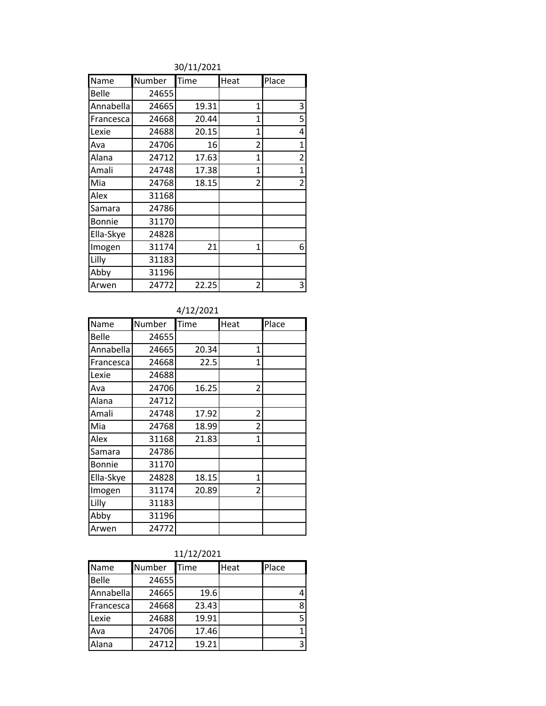#### 30/11/2021

| Name          | Number | Time  | Heat           | Place          |
|---------------|--------|-------|----------------|----------------|
| Belle         | 24655  |       |                |                |
| Annabella     | 24665  | 19.31 | 1              | 3              |
| Francesca     | 24668  | 20.44 | 1              | 5              |
| Lexie         | 24688  | 20.15 | $\overline{1}$ | 4              |
| Ava           | 24706  | 16    | 2              | 1              |
| Alana         | 24712  | 17.63 | 1              | $\overline{2}$ |
| Amali         | 24748  | 17.38 | 1              | $\mathbf{1}$   |
| Mia           | 24768  | 18.15 | 2              | $\overline{2}$ |
| Alex          | 31168  |       |                |                |
| Samara        | 24786  |       |                |                |
| <b>Bonnie</b> | 31170  |       |                |                |
| Ella-Skye     | 24828  |       |                |                |
| Imogen        | 31174  | 21    | 1              | 6              |
| Lilly         | 31183  |       |                |                |
| Abby          | 31196  |       |                |                |
| Arwen         | 24772  | 22.25 | 2              | 3              |

#### 4/12/2021

| Name      | Number | Time  | Heat           | Place |
|-----------|--------|-------|----------------|-------|
| Belle     | 24655  |       |                |       |
| Annabella | 24665  | 20.34 | 1              |       |
| Francesca | 24668  | 22.5  | $\mathbf{1}$   |       |
| Lexie     | 24688  |       |                |       |
| Ava       | 24706  | 16.25 | 2              |       |
| Alana     | 24712  |       |                |       |
| Amali     | 24748  | 17.92 | 2              |       |
| Mia       | 24768  | 18.99 | $\overline{2}$ |       |
| Alex      | 31168  | 21.83 | 1              |       |
| Samara    | 24786  |       |                |       |
| Bonnie    | 31170  |       |                |       |
| Ella-Skye | 24828  | 18.15 | 1              |       |
| Imogen    | 31174  | 20.89 | $\overline{2}$ |       |
| Lilly     | 31183  |       |                |       |
| Abby      | 31196  |       |                |       |
| Arwen     | 24772  |       |                |       |

#### 11/12/2021

| Name      | Number | Time  | Heat | Place |
|-----------|--------|-------|------|-------|
| Belle     | 24655  |       |      |       |
| Annabella | 24665  | 19.6  |      | 4     |
| Francesca | 24668  | 23.43 |      | 8     |
| Lexie     | 24688  | 19.91 |      | 5     |
| Ava       | 24706  | 17.46 |      | 1     |
| Alana     | 24712  | 19.21 |      | 3     |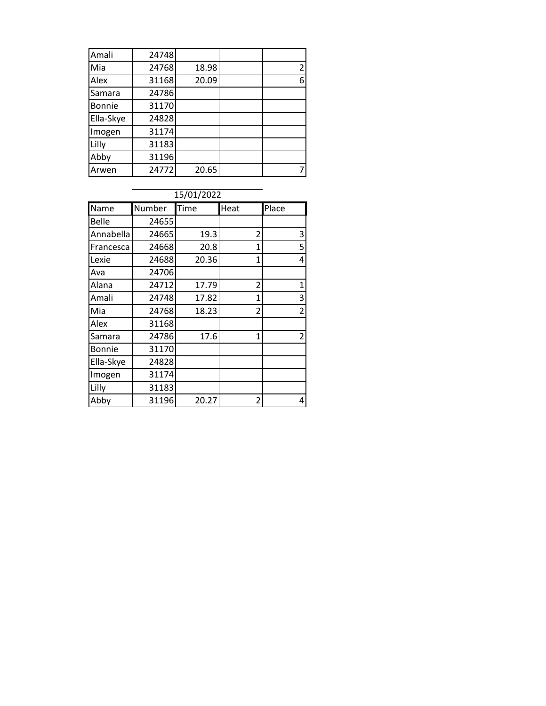| Amali         | 24748 |       |   |
|---------------|-------|-------|---|
| Mia           | 24768 | 18.98 | 2 |
| Alex          | 31168 | 20.09 | 6 |
| Samara        | 24786 |       |   |
| <b>Bonnie</b> | 31170 |       |   |
| Ella-Skye     | 24828 |       |   |
| Imogen        | 31174 |       |   |
| Lilly         | 31183 |       |   |
| Abby          | 31196 |       |   |
| Arwen         | 24772 | 20.65 |   |

| 15/01/2022    |        |       |              |                |
|---------------|--------|-------|--------------|----------------|
| Name          | Number | Time  | Heat         | Place          |
| <b>Belle</b>  | 24655  |       |              |                |
| Annabella     | 24665  | 19.3  | 2            | 3              |
| Francesca     | 24668  | 20.8  | 1            | 5              |
| Lexie         | 24688  | 20.36 | $\mathbf{1}$ | 4              |
| Ava           | 24706  |       |              |                |
| Alana         | 24712  | 17.79 | 2            | $\mathbf{1}$   |
| Amali         | 24748  | 17.82 | 1            | 3              |
| Mia           | 24768  | 18.23 | 2            | $\overline{2}$ |
| Alex          | 31168  |       |              |                |
| Samara        | 24786  | 17.6  | 1            | $\overline{2}$ |
| <b>Bonnie</b> | 31170  |       |              |                |
| Ella-Skye     | 24828  |       |              |                |
| Imogen        | 31174  |       |              |                |
| Lilly         | 31183  |       |              |                |
| Abby          | 31196  | 20.27 | 2            | 4              |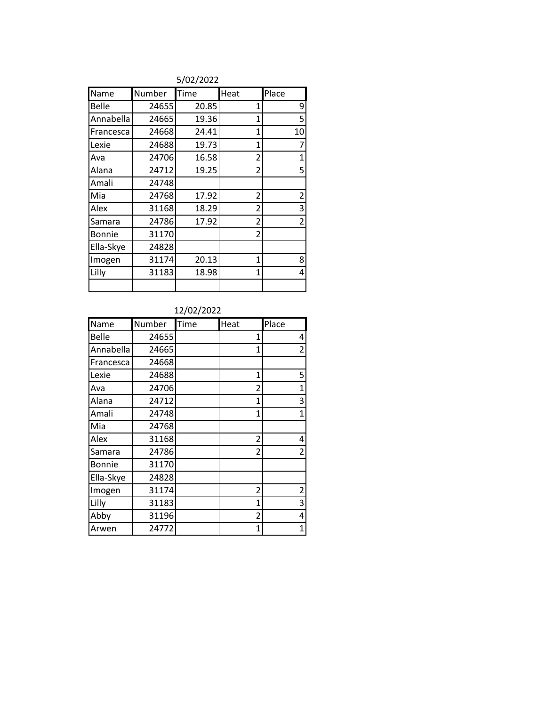|               |        | --------- |                |                |
|---------------|--------|-----------|----------------|----------------|
| Name          | Number | Time      | Heat           | Place          |
| Belle         | 24655  | 20.85     | 1              | 9              |
| Annabella     | 24665  | 19.36     | 1              | 5              |
| Francesca     | 24668  | 24.41     | $\mathbf{1}$   | 10             |
| Lexie         | 24688  | 19.73     | $\mathbf{1}$   | 7              |
| Ava           | 24706  | 16.58     | 2              | $\mathbf{1}$   |
| Alana         | 24712  | 19.25     | $\overline{2}$ | 5              |
| Amali         | 24748  |           |                |                |
| Mia           | 24768  | 17.92     | 2              | $\overline{2}$ |
| Alex          | 31168  | 18.29     | 2              | 3              |
| Samara        | 24786  | 17.92     | 2              | $\overline{2}$ |
| <b>Bonnie</b> | 31170  |           | 2              |                |
| Ella-Skye     | 24828  |           |                |                |
| Imogen        | 31174  | 20.13     | $\mathbf{1}$   | 8              |
| Lilly         | 31183  | 18.98     | 1              | 4              |
|               |        |           |                |                |

#### 5/02/2022

#### 12/02/2022

| Name      | Number | Time | Heat           | Place          |
|-----------|--------|------|----------------|----------------|
| Belle     | 24655  |      | 1              | 4              |
| Annabella | 24665  |      | 1              | $\overline{2}$ |
| Francesca | 24668  |      |                |                |
| Lexie     | 24688  |      | 1              | 5              |
| Ava       | 24706  |      | $\overline{2}$ | $\mathbf{1}$   |
| Alana     | 24712  |      | 1              | 3              |
| Amali     | 24748  |      | $\overline{1}$ | 1              |
| Mia       | 24768  |      |                |                |
| Alex      | 31168  |      | 2              | 4              |
| Samara    | 24786  |      | 2              | $\overline{2}$ |
| Bonnie    | 31170  |      |                |                |
| Ella-Skye | 24828  |      |                |                |
| Imogen    | 31174  |      | 2              | $\overline{2}$ |
| Lilly     | 31183  |      | $\mathbf{1}$   | 3              |
| Abby      | 31196  |      | 2              | 4              |
| Arwen     | 24772  |      | 1              | 1              |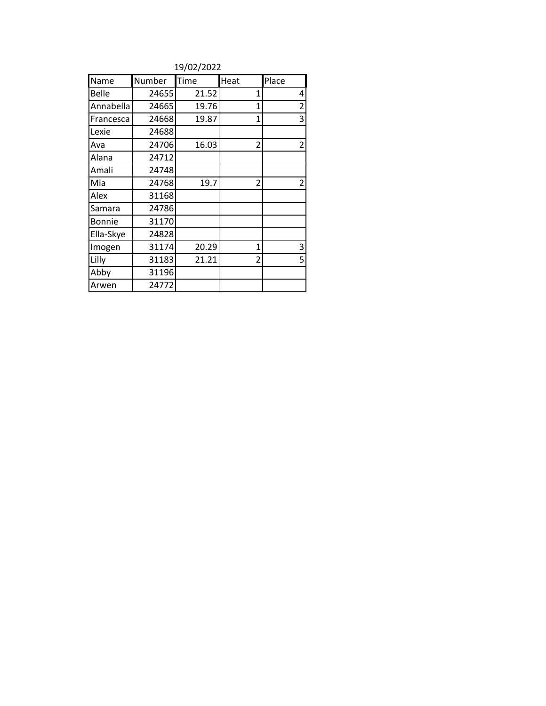| 19/02/2022 |  |
|------------|--|
|------------|--|

| Name      | Number | Time  | Heat           | Place          |
|-----------|--------|-------|----------------|----------------|
| Belle     | 24655  | 21.52 | 1              | 4              |
| Annabella | 24665  | 19.76 | $\mathbf{1}$   | $\overline{c}$ |
| Francesca | 24668  | 19.87 | 1              | 3              |
| Lexie     | 24688  |       |                |                |
| Ava       | 24706  | 16.03 | $\overline{2}$ | $\overline{2}$ |
| Alana     | 24712  |       |                |                |
| Amali     | 24748  |       |                |                |
| Mia       | 24768  | 19.7  | 2              | $\overline{c}$ |
| Alex      | 31168  |       |                |                |
| Samara    | 24786  |       |                |                |
| Bonnie    | 31170  |       |                |                |
| Ella-Skye | 24828  |       |                |                |
| Imogen    | 31174  | 20.29 | $\mathbf{1}$   | 3              |
| Lilly     | 31183  | 21.21 | $\overline{2}$ | 5              |
| Abby      | 31196  |       |                |                |
| Arwen     | 24772  |       |                |                |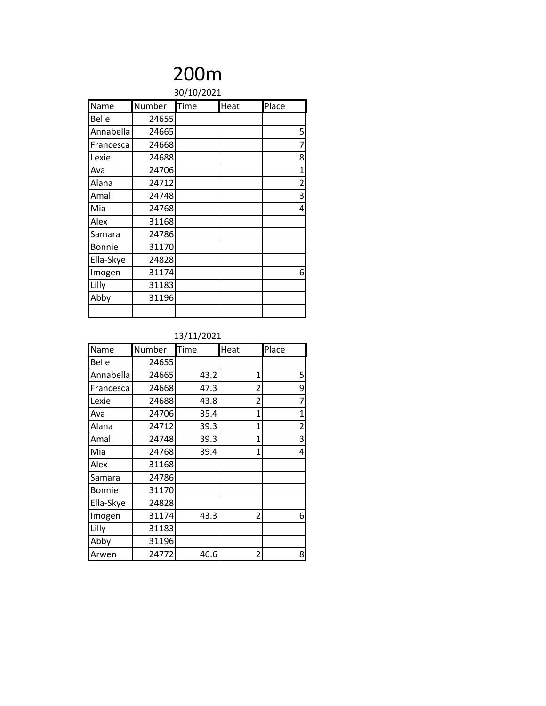### 200m 30/10/2021

| 30/10/2021    |        |      |      |                |  |
|---------------|--------|------|------|----------------|--|
| Name          | Number | Time | Heat | Place          |  |
| Belle         | 24655  |      |      |                |  |
| Annabella     | 24665  |      |      | 5              |  |
| Francesca     | 24668  |      |      | 7              |  |
| Lexie         | 24688  |      |      | 8              |  |
| Ava           | 24706  |      |      | 1              |  |
| Alana         | 24712  |      |      | $\overline{2}$ |  |
| Amali         | 24748  |      |      | 3              |  |
| Mia           | 24768  |      |      | 4              |  |
| Alex          | 31168  |      |      |                |  |
| Samara        | 24786  |      |      |                |  |
| <b>Bonnie</b> | 31170  |      |      |                |  |
| Ella-Skye     | 24828  |      |      |                |  |
| Imogen        | 31174  |      |      | 6              |  |
| Lilly         | 31183  |      |      |                |  |
| Abby          | 31196  |      |      |                |  |
|               |        |      |      |                |  |

| Name      | Number | Time | Heat           | Place |
|-----------|--------|------|----------------|-------|
| Belle     | 24655  |      |                |       |
| Annabella | 24665  | 43.2 | 1              | 5     |
| Francesca | 24668  | 47.3 | $\overline{2}$ | 9     |
| Lexie     | 24688  | 43.8 | 2              | 7     |
| Ava       | 24706  | 35.4 | $\overline{1}$ | 1     |
| Alana     | 24712  | 39.3 | 1              | 2     |
| Amali     | 24748  | 39.3 | 1              | 3     |
| Mia       | 24768  | 39.4 | 1              | 4     |
| Alex      | 31168  |      |                |       |
| Samara    | 24786  |      |                |       |
| Bonnie    | 31170  |      |                |       |
| Ella-Skye | 24828  |      |                |       |
| Imogen    | 31174  | 43.3 | 2              | 6     |
| Lilly     | 31183  |      |                |       |
| Abby      | 31196  |      |                |       |
| Arwen     | 24772  | 46.6 | 2              | 8     |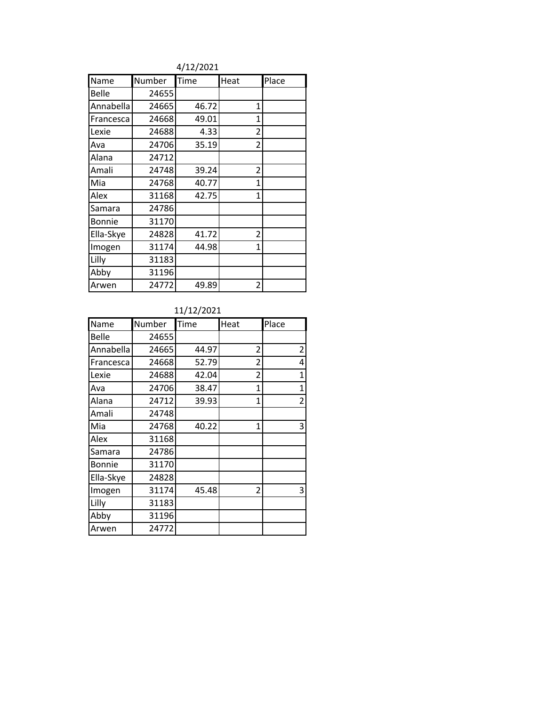4/12/2021

| Name      | Number | Time  | Heat           | Place |
|-----------|--------|-------|----------------|-------|
| Belle     | 24655  |       |                |       |
| Annabella | 24665  | 46.72 | 1              |       |
| Francesca | 24668  | 49.01 | 1              |       |
| Lexie     | 24688  | 4.33  | $\overline{2}$ |       |
| Ava       | 24706  | 35.19 | 2              |       |
| Alana     | 24712  |       |                |       |
| Amali     | 24748  | 39.24 | 2              |       |
| Mia       | 24768  | 40.77 | $\overline{1}$ |       |
| Alex      | 31168  | 42.75 | $\overline{1}$ |       |
| Samara    | 24786  |       |                |       |
| Bonnie    | 31170  |       |                |       |
| Ella-Skye | 24828  | 41.72 | $\overline{2}$ |       |
| Imogen    | 31174  | 44.98 | 1              |       |
| Lilly     | 31183  |       |                |       |
| Abby      | 31196  |       |                |       |
| Arwen     | 24772  | 49.89 | 2              |       |

#### 11/12/2021

| Name          | Number | Time  | Heat           | Place          |
|---------------|--------|-------|----------------|----------------|
| Belle         | 24655  |       |                |                |
| Annabella     | 24665  | 44.97 | 2              | $\overline{2}$ |
| Francesca     | 24668  | 52.79 | $\overline{2}$ | 4              |
| Lexie         | 24688  | 42.04 | 2              | $\mathbf 1$    |
| Ava           | 24706  | 38.47 | $\mathbf{1}$   | $\mathbf{1}$   |
| Alana         | 24712  | 39.93 | $\mathbf{1}$   | $\overline{2}$ |
| Amali         | 24748  |       |                |                |
| Mia           | 24768  | 40.22 | $\mathbf{1}$   | 3              |
| Alex          | 31168  |       |                |                |
| Samara        | 24786  |       |                |                |
| <b>Bonnie</b> | 31170  |       |                |                |
| Ella-Skye     | 24828  |       |                |                |
| Imogen        | 31174  | 45.48 | 2              | 3              |
| Lilly         | 31183  |       |                |                |
| Abby          | 31196  |       |                |                |
| Arwen         | 24772  |       |                |                |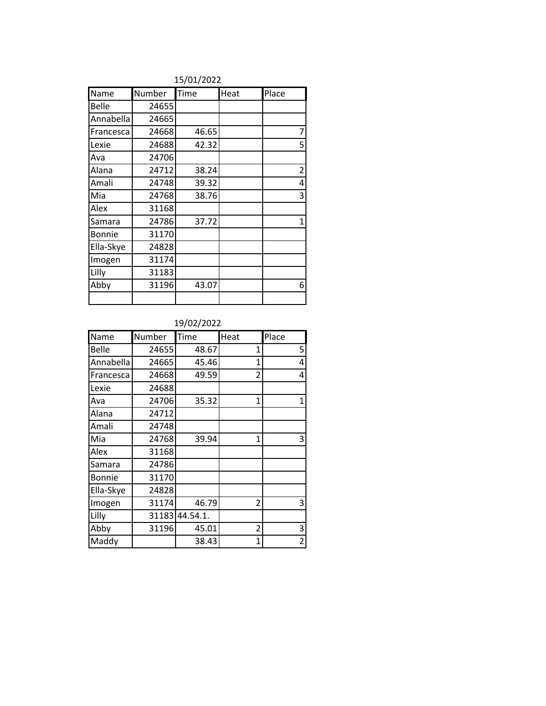|           |        | ----------- |      |                |
|-----------|--------|-------------|------|----------------|
| Name      | Number | Time        | Heat | Place          |
| Belle     | 24655  |             |      |                |
| Annabella | 24665  |             |      |                |
| Francesca | 24668  | 46.65       |      | 7              |
| Lexie     | 24688  | 42.32       |      | 5              |
| Ava       | 24706  |             |      |                |
| Alana     | 24712  | 38.24       |      | $\overline{2}$ |
| Amali     | 24748  | 39.32       |      | 4              |
| Mia       | 24768  | 38.76       |      | 3              |
| Alex      | 31168  |             |      |                |
| Samara    | 24786  | 37.72       |      | $\mathbf{1}$   |
| Bonnie    | 31170  |             |      |                |
| Ella-Skye | 24828  |             |      |                |
| Imogen    | 31174  |             |      |                |
| Lilly     | 31183  |             |      |                |
| Abby      | 31196  | 43.07       |      | 6              |
|           |        |             |      |                |

#### 15/01/2022

#### 19/02/2022

| Name      | Number | Time     | Heat           | Place        |
|-----------|--------|----------|----------------|--------------|
| Belle     | 24655  | 48.67    | 1              | 5            |
| Annabella | 24665  | 45.46    | 1              | 4            |
| Francesca | 24668  | 49.59    | $\overline{2}$ | 4            |
| Lexie     | 24688  |          |                |              |
| Ava       | 24706  | 35.32    | 1              | $\mathbf{1}$ |
| Alana     | 24712  |          |                |              |
| Amali     | 24748  |          |                |              |
| Mia       | 24768  | 39.94    | $\overline{1}$ | 3            |
| Alex      | 31168  |          |                |              |
| Samara    | 24786  |          |                |              |
| Bonnie    | 31170  |          |                |              |
| Ella-Skye | 24828  |          |                |              |
| Imogen    | 31174  | 46.79    | 2              | 3            |
| Lilly     | 31183  | 44.54.1. |                |              |
| Abby      | 31196  | 45.01    | 2              | 3            |
| Maddy     |        | 38.43    | 1              | 2            |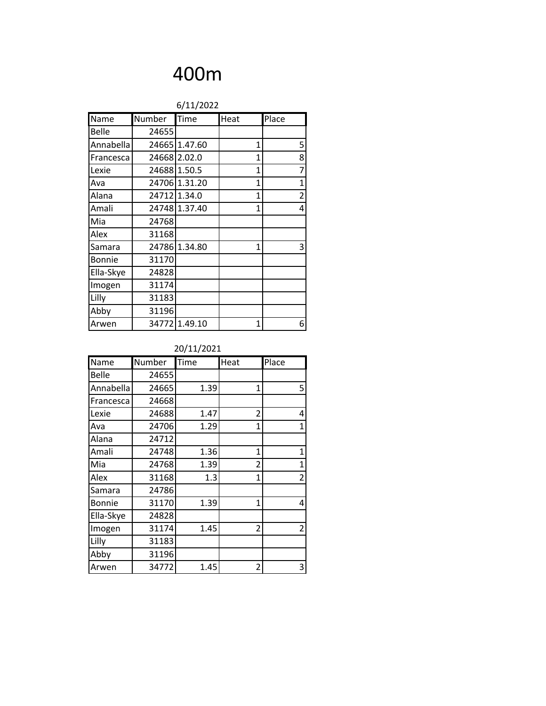| 6/11/2022     |        |               |              |                |
|---------------|--------|---------------|--------------|----------------|
| Name          | Number | Time          | Heat         | Place          |
| Belle         | 24655  |               |              |                |
| Annabella     |        | 24665 1.47.60 | 1            | 5              |
| Francesca     |        | 24668 2.02.0  | $\mathbf{1}$ | 8              |
| Lexie         |        | 24688 1.50.5  | 1            | $\overline{7}$ |
| Ava           |        | 24706 1.31.20 | $\mathbf{1}$ | $\mathbf 1$    |
| Alana         |        | 24712 1.34.0  | 1            | $\overline{2}$ |
| Amali         |        | 24748 1.37.40 | 1            | 4              |
| Mia           | 24768  |               |              |                |
| Alex          | 31168  |               |              |                |
| Samara        |        | 24786 1.34.80 | 1            | 3              |
| <b>Bonnie</b> | 31170  |               |              |                |
| Ella-Skye     | 24828  |               |              |                |
| Imogen        | 31174  |               |              |                |
| Lilly         | 31183  |               |              |                |
| Abby          | 31196  |               |              |                |
| Arwen         |        | 34772 1.49.10 | 1            | 6              |

| Name          | Number | Time | Heat           | Place          |
|---------------|--------|------|----------------|----------------|
| Belle         | 24655  |      |                |                |
| Annabella     | 24665  | 1.39 | 1              | 5              |
| Francesca     | 24668  |      |                |                |
| Lexie         | 24688  | 1.47 | 2              | 4              |
| Ava           | 24706  | 1.29 | $\overline{1}$ | $\mathbf{1}$   |
| Alana         | 24712  |      |                |                |
| Amali         | 24748  | 1.36 | 1              | $\mathbf{1}$   |
| Mia           | 24768  | 1.39 | 2              | $\mathbf{1}$   |
| Alex          | 31168  | 1.3  | 1              | $\overline{2}$ |
| Samara        | 24786  |      |                |                |
| <b>Bonnie</b> | 31170  | 1.39 | 1              | 4              |
| Ella-Skye     | 24828  |      |                |                |
| Imogen        | 31174  | 1.45 | 2              | $\overline{2}$ |
| Lilly         | 31183  |      |                |                |
| Abby          | 31196  |      |                |                |
| Arwen         | 34772  | 1.45 | 2              | 3              |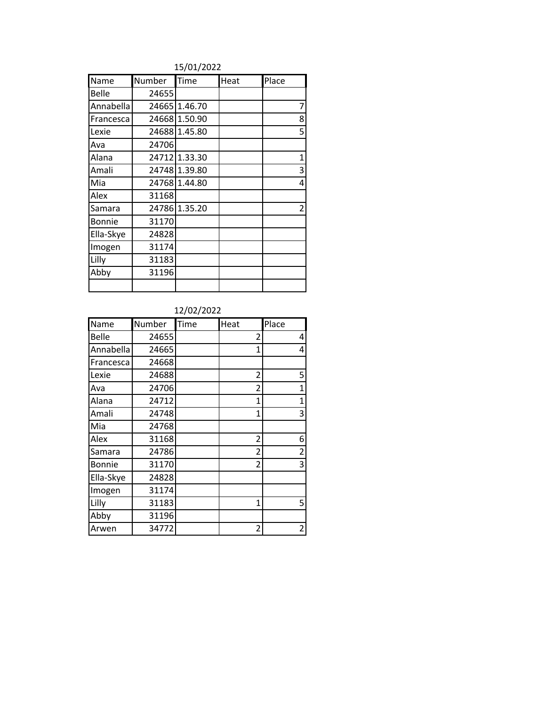#### 15/01/2022

| Name      | Number | Time          | Heat | Place |
|-----------|--------|---------------|------|-------|
| Belle     | 24655  |               |      |       |
| Annabella |        | 24665 1.46.70 |      | 7     |
| Francesca |        | 24668 1.50.90 |      | 8     |
| Lexie     |        | 24688 1.45.80 |      | 5     |
| Ava       | 24706  |               |      |       |
| Alana     |        | 24712 1.33.30 |      | 1     |
| Amali     |        | 24748 1.39.80 |      | 3     |
| Mia       |        | 24768 1.44.80 |      | 4     |
| Alex      | 31168  |               |      |       |
| Samara    |        | 24786 1.35.20 |      | 2     |
| Bonnie    | 31170  |               |      |       |
| Ella-Skye | 24828  |               |      |       |
| Imogen    | 31174  |               |      |       |
| Lilly     | 31183  |               |      |       |
| Abby      | 31196  |               |      |       |
|           |        |               |      |       |

#### 12/02/2022

| Name      | Number | Time | Heat           | Place |
|-----------|--------|------|----------------|-------|
| Belle     | 24655  |      | 2              | 4     |
| Annabella | 24665  |      | 1              | 4     |
| Francesca | 24668  |      |                |       |
| Lexie     | 24688  |      | $\overline{2}$ | 5     |
| Ava       | 24706  |      | 2              | 1     |
| Alana     | 24712  |      | 1              | 1     |
| Amali     | 24748  |      | $\overline{1}$ | 3     |
| Mia       | 24768  |      |                |       |
| Alex      | 31168  |      | 2              | 6     |
| Samara    | 24786  |      | 2              | 2     |
| Bonnie    | 31170  |      | $\overline{2}$ | 3     |
| Ella-Skye | 24828  |      |                |       |
| Imogen    | 31174  |      |                |       |
| Lilly     | 31183  |      | 1              | 5     |
| Abby      | 31196  |      |                |       |
| Arwen     | 34772  |      | $\overline{c}$ | 2     |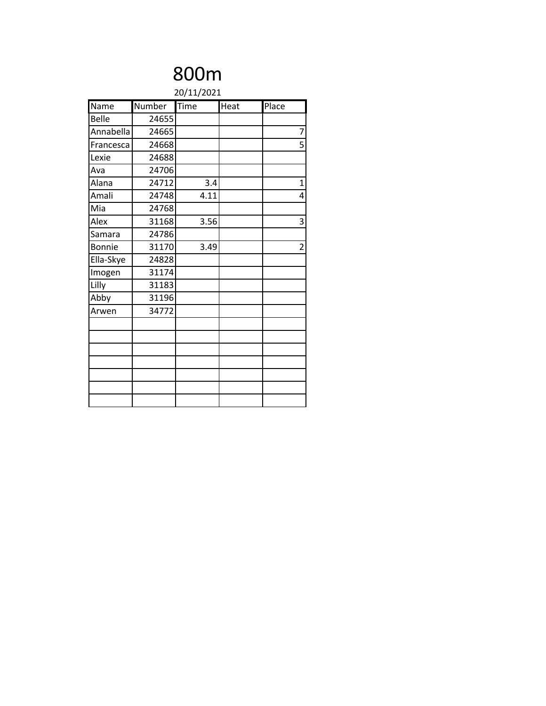| 20/11/2021 |                    |      |                |  |  |
|------------|--------------------|------|----------------|--|--|
| Number     | $\overline{T}$ ime | Heat | Place          |  |  |
| 24655      |                    |      |                |  |  |
| 24665      |                    |      | 7              |  |  |
| 24668      |                    |      | 5              |  |  |
| 24688      |                    |      |                |  |  |
| 24706      |                    |      |                |  |  |
| 24712      | 3.4                |      | $\overline{1}$ |  |  |
| 24748      | 4.11               |      | 4              |  |  |
| 24768      |                    |      |                |  |  |
| 31168      | 3.56               |      | 3              |  |  |
| 24786      |                    |      |                |  |  |
| 31170      | 3.49               |      | $\overline{c}$ |  |  |
| 24828      |                    |      |                |  |  |
| 31174      |                    |      |                |  |  |
| 31183      |                    |      |                |  |  |
| 31196      |                    |      |                |  |  |
| 34772      |                    |      |                |  |  |
|            |                    |      |                |  |  |
|            |                    |      |                |  |  |
|            |                    |      |                |  |  |
|            |                    |      |                |  |  |
|            |                    |      |                |  |  |
|            |                    |      |                |  |  |
|            |                    |      |                |  |  |
|            |                    |      |                |  |  |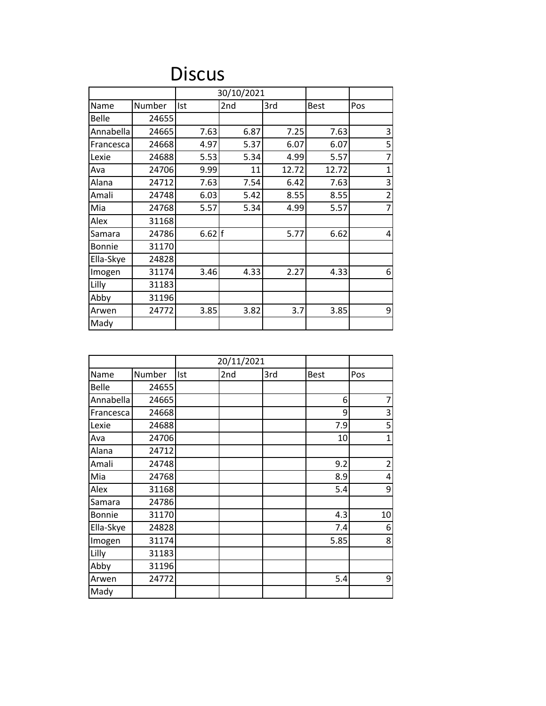### Discus

|               |        |      | 30/10/2021 |       |             |                |
|---------------|--------|------|------------|-------|-------------|----------------|
| Name          | Number | Ist  | 2nd        | 3rd   | <b>Best</b> | Pos            |
| Belle         | 24655  |      |            |       |             |                |
| Annabella     | 24665  | 7.63 | 6.87       | 7.25  | 7.63        | 3              |
| Francesca     | 24668  | 4.97 | 5.37       | 6.07  | 6.07        | 5              |
| Lexie         | 24688  | 5.53 | 5.34       | 4.99  | 5.57        | 7              |
| Ava           | 24706  | 9.99 | 11         | 12.72 | 12.72       | $\overline{1}$ |
| Alana         | 24712  | 7.63 | 7.54       | 6.42  | 7.63        | 3              |
| Amali         | 24748  | 6.03 | 5.42       | 8.55  | 8.55        | $\overline{2}$ |
| Mia           | 24768  | 5.57 | 5.34       | 4.99  | 5.57        | 7              |
| Alex          | 31168  |      |            |       |             |                |
| Samara        | 24786  | 6.62 | lf         | 5.77  | 6.62        | 4              |
| <b>Bonnie</b> | 31170  |      |            |       |             |                |
| Ella-Skye     | 24828  |      |            |       |             |                |
| Imogen        | 31174  | 3.46 | 4.33       | 2.27  | 4.33        | 6              |
| Lilly         | 31183  |      |            |       |             |                |
| Abby          | 31196  |      |            |       |             |                |
| Arwen         | 24772  | 3.85 | 3.82       | 3.7   | 3.85        | 9              |
| Mady          |        |      |            |       |             |                |

|               |        | 20/11/2021 |     |     |             |                |
|---------------|--------|------------|-----|-----|-------------|----------------|
| Name          | Number | Ist        | 2nd | 3rd | <b>Best</b> | Pos            |
| <b>Belle</b>  | 24655  |            |     |     |             |                |
| Annabella     | 24665  |            |     |     | 6           | 7              |
| Francesca     | 24668  |            |     |     | 9           | 3              |
| Lexie         | 24688  |            |     |     | 7.9         | 5              |
| Ava           | 24706  |            |     |     | 10          | $\mathbf 1$    |
| Alana         | 24712  |            |     |     |             |                |
| Amali         | 24748  |            |     |     | 9.2         | $\overline{2}$ |
| Mia           | 24768  |            |     |     | 8.9         | 4              |
| Alex          | 31168  |            |     |     | 5.4         | 9              |
| Samara        | 24786  |            |     |     |             |                |
| <b>Bonnie</b> | 31170  |            |     |     | 4.3         | 10             |
| Ella-Skye     | 24828  |            |     |     | 7.4         | 6              |
| Imogen        | 31174  |            |     |     | 5.85        | 8              |
| Lilly         | 31183  |            |     |     |             |                |
| Abby          | 31196  |            |     |     |             |                |
| Arwen         | 24772  |            |     |     | 5.4         | 9              |
| Mady          |        |            |     |     |             |                |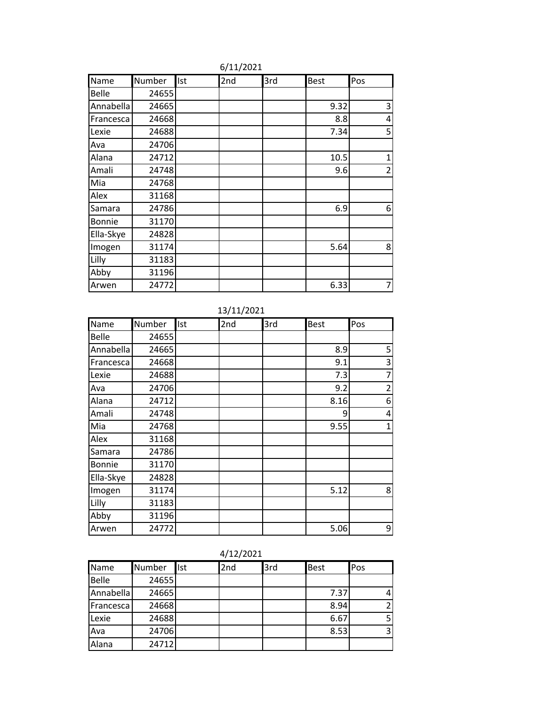| Name      | Number | Ist | 2nd | 3rd | <b>Best</b> | Pos            |
|-----------|--------|-----|-----|-----|-------------|----------------|
| Belle     | 24655  |     |     |     |             |                |
| Annabella | 24665  |     |     |     | 9.32        | 3              |
| Francesca | 24668  |     |     |     | 8.8         | 4              |
| Lexie     | 24688  |     |     |     | 7.34        | 5              |
| Ava       | 24706  |     |     |     |             |                |
| Alana     | 24712  |     |     |     | 10.5        | $\mathbf{1}$   |
| Amali     | 24748  |     |     |     | 9.6         | $\overline{2}$ |
| Mia       | 24768  |     |     |     |             |                |
| Alex      | 31168  |     |     |     |             |                |
| Samara    | 24786  |     |     |     | 6.9         | 6              |
| Bonnie    | 31170  |     |     |     |             |                |
| Ella-Skye | 24828  |     |     |     |             |                |
| Imogen    | 31174  |     |     |     | 5.64        | 8              |
| Lilly     | 31183  |     |     |     |             |                |
| Abby      | 31196  |     |     |     |             |                |
| Arwen     | 24772  |     |     |     | 6.33        | 7              |

#### 6/11/2021

| Name          | Number | Ist | 2nd | 3rd | <b>Best</b> | Pos            |
|---------------|--------|-----|-----|-----|-------------|----------------|
| Belle         | 24655  |     |     |     |             |                |
| Annabella     | 24665  |     |     |     | 8.9         | 5              |
| Francesca     | 24668  |     |     |     | 9.1         | 3              |
| Lexie         | 24688  |     |     |     | 7.3         | 7              |
| Ava           | 24706  |     |     |     | 9.2         | $\overline{2}$ |
| Alana         | 24712  |     |     |     | 8.16        | 6              |
| Amali         | 24748  |     |     |     | 9           | 4              |
| Mia           | 24768  |     |     |     | 9.55        | 1              |
| Alex          | 31168  |     |     |     |             |                |
| Samara        | 24786  |     |     |     |             |                |
| <b>Bonnie</b> | 31170  |     |     |     |             |                |
| Ella-Skye     | 24828  |     |     |     |             |                |
| Imogen        | 31174  |     |     |     | 5.12        | 8              |
| Lilly         | 31183  |     |     |     |             |                |
| Abby          | 31196  |     |     |     |             |                |
| Arwen         | 24772  |     |     |     | 5.06        | 9              |

| 4/12/2021 |  |
|-----------|--|
|-----------|--|

| Name         | Number | Ist | 2nd | 3rd | <b>Best</b> | Pos |
|--------------|--------|-----|-----|-----|-------------|-----|
| <b>Belle</b> | 24655  |     |     |     |             |     |
| Annabella    | 24665  |     |     |     | 7.37        | 4   |
| Francesca    | 24668  |     |     |     | 8.94        | 2   |
| Lexie        | 24688  |     |     |     | 6.67        | 5   |
| Ava          | 24706  |     |     |     | 8.53        | 3   |
| Alana        | 24712  |     |     |     |             |     |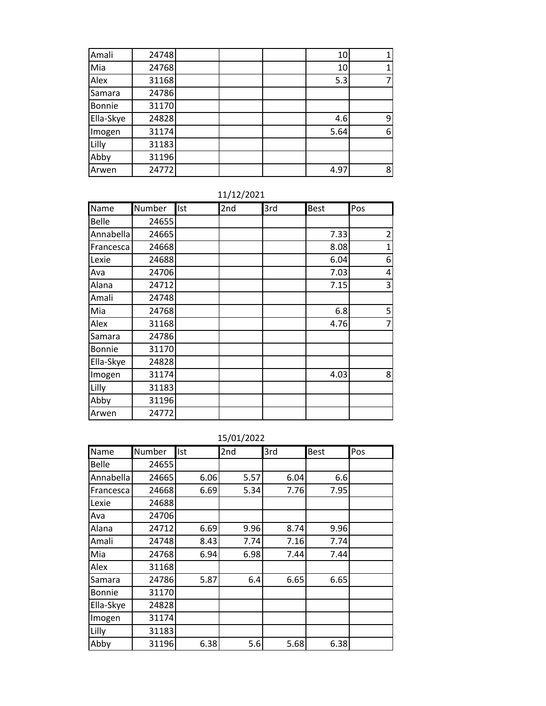| Amali         | 24748 |  | 10   |   |
|---------------|-------|--|------|---|
| Mia           | 24768 |  | 10   |   |
| Alex          | 31168 |  | 5.3  |   |
| Samara        | 24786 |  |      |   |
| <b>Bonnie</b> | 31170 |  |      |   |
| Ella-Skye     | 24828 |  | 4.6  | q |
| Imogen        | 31174 |  | 5.64 | 6 |
| Lilly         | 31183 |  |      |   |
| Abby          | 31196 |  |      |   |
| Arwen         | 24772 |  | 4.97 | 8 |

| 11/12/2021 |  |  |  |  |  |  |  |  |
|------------|--|--|--|--|--|--|--|--|
|------------|--|--|--|--|--|--|--|--|

| Name      | Number | Ist | 2nd | 3rd | <b>Best</b> | Pos         |
|-----------|--------|-----|-----|-----|-------------|-------------|
| Belle     | 24655  |     |     |     |             |             |
| Annabella | 24665  |     |     |     | 7.33        | 2           |
| Francesca | 24668  |     |     |     | 8.08        | $\mathbf 1$ |
| Lexie     | 24688  |     |     |     | 6.04        | 6           |
| Ava       | 24706  |     |     |     | 7.03        | 4           |
| Alana     | 24712  |     |     |     | 7.15        | 3           |
| Amali     | 24748  |     |     |     |             |             |
| Mia       | 24768  |     |     |     | 6.8         | 5           |
| Alex      | 31168  |     |     |     | 4.76        | 7           |
| Samara    | 24786  |     |     |     |             |             |
| Bonnie    | 31170  |     |     |     |             |             |
| Ella-Skye | 24828  |     |     |     |             |             |
| Imogen    | 31174  |     |     |     | 4.03        | 8           |
| Lilly     | 31183  |     |     |     |             |             |
| Abby      | 31196  |     |     |     |             |             |
| Arwen     | 24772  |     |     |     |             |             |

| Name          | Number | Ist  | 2nd  | 3rd  | <b>Best</b> | Pos |
|---------------|--------|------|------|------|-------------|-----|
| Belle         | 24655  |      |      |      |             |     |
| Annabella     | 24665  | 6.06 | 5.57 | 6.04 | 6.6         |     |
| Francesca     | 24668  | 6.69 | 5.34 | 7.76 | 7.95        |     |
| Lexie         | 24688  |      |      |      |             |     |
| Ava           | 24706  |      |      |      |             |     |
| Alana         | 24712  | 6.69 | 9.96 | 8.74 | 9.96        |     |
| Amali         | 24748  | 8.43 | 7.74 | 7.16 | 7.74        |     |
| Mia           | 24768  | 6.94 | 6.98 | 7.44 | 7.44        |     |
| Alex          | 31168  |      |      |      |             |     |
| Samara        | 24786  | 5.87 | 6.4  | 6.65 | 6.65        |     |
| <b>Bonnie</b> | 31170  |      |      |      |             |     |
| Ella-Skye     | 24828  |      |      |      |             |     |
| Imogen        | 31174  |      |      |      |             |     |
| Lilly         | 31183  |      |      |      |             |     |
| Abby          | 31196  | 6.38 | 5.6  | 5.68 | 6.38        |     |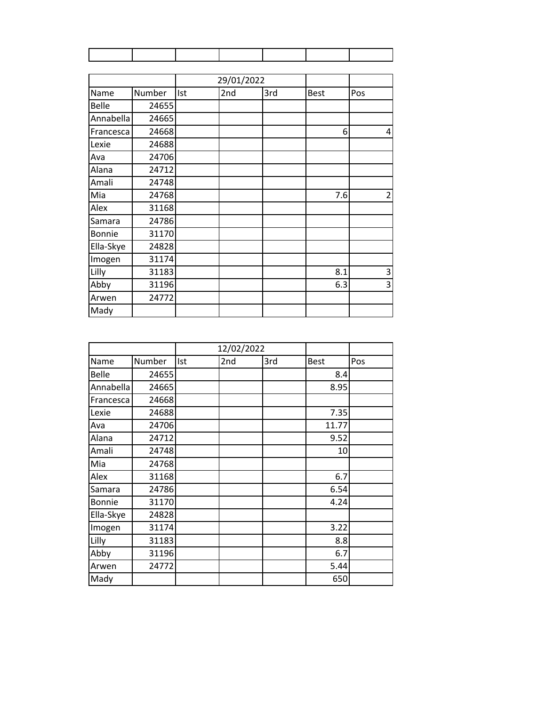|           |        |     | 29/01/2022 |     |             |                |
|-----------|--------|-----|------------|-----|-------------|----------------|
| Name      | Number | Ist | 2nd        | 3rd | <b>Best</b> | Pos            |
| Belle     | 24655  |     |            |     |             |                |
| Annabella | 24665  |     |            |     |             |                |
| Francesca | 24668  |     |            |     | 6           | 4              |
| Lexie     | 24688  |     |            |     |             |                |
| Ava       | 24706  |     |            |     |             |                |
| Alana     | 24712  |     |            |     |             |                |
| Amali     | 24748  |     |            |     |             |                |
| Mia       | 24768  |     |            |     | 7.6         | $\overline{2}$ |
| Alex      | 31168  |     |            |     |             |                |
| Samara    | 24786  |     |            |     |             |                |
| Bonnie    | 31170  |     |            |     |             |                |
| Ella-Skye | 24828  |     |            |     |             |                |
| Imogen    | 31174  |     |            |     |             |                |
| Lilly     | 31183  |     |            |     | 8.1         | 3              |
| Abby      | 31196  |     |            |     | 6.3         | 3              |
| Arwen     | 24772  |     |            |     |             |                |
| Mady      |        |     |            |     |             |                |

|              |        |     | 12/02/2022 |     |             |     |
|--------------|--------|-----|------------|-----|-------------|-----|
| Name         | Number | Ist | 2nd        | 3rd | <b>Best</b> | Pos |
| <b>Belle</b> | 24655  |     |            |     | 8.4         |     |
| Annabella    | 24665  |     |            |     | 8.95        |     |
| Francesca    | 24668  |     |            |     |             |     |
| Lexie        | 24688  |     |            |     | 7.35        |     |
| Ava          | 24706  |     |            |     | 11.77       |     |
| Alana        | 24712  |     |            |     | 9.52        |     |
| Amali        | 24748  |     |            |     | 10          |     |
| Mia          | 24768  |     |            |     |             |     |
| Alex         | 31168  |     |            |     | 6.7         |     |
| Samara       | 24786  |     |            |     | 6.54        |     |
| Bonnie       | 31170  |     |            |     | 4.24        |     |
| Ella-Skye    | 24828  |     |            |     |             |     |
| Imogen       | 31174  |     |            |     | 3.22        |     |
| Lilly        | 31183  |     |            |     | 8.8         |     |
| Abby         | 31196  |     |            |     | 6.7         |     |
| Arwen        | 24772  |     |            |     | 5.44        |     |
| Mady         |        |     |            |     | 650         |     |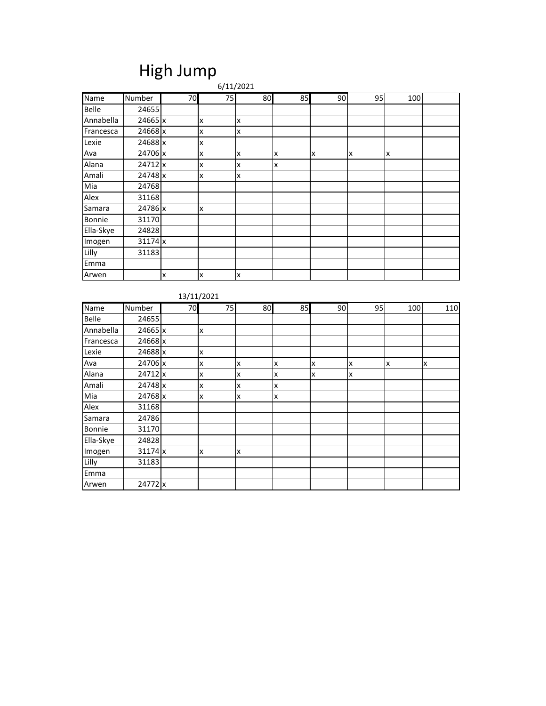### High Jump

|           |           |    |    | 6/11/2021 |    |    |    |     |  |
|-----------|-----------|----|----|-----------|----|----|----|-----|--|
| Name      | Number    | 70 | 75 | 80        | 85 | 90 | 95 | 100 |  |
| Belle     | 24655     |    |    |           |    |    |    |     |  |
| Annabella | 24665 x   |    | x  | x         |    |    |    |     |  |
| Francesca | 24668 x   |    | X  | x         |    |    |    |     |  |
| Lexie     | 24688 x   |    | X  |           |    |    |    |     |  |
| Ava       | 24706 x   |    | X  | x         | x  | x  | x  | Ιx  |  |
| Alana     | 24712 x   |    | x  | x         | x  |    |    |     |  |
| Amali     | 24748 x   |    | X  | X         |    |    |    |     |  |
| Mia       | 24768     |    |    |           |    |    |    |     |  |
| Alex      | 31168     |    |    |           |    |    |    |     |  |
| Samara    | 24786 x   |    | X  |           |    |    |    |     |  |
| Bonnie    | 31170     |    |    |           |    |    |    |     |  |
| Ella-Skye | 24828     |    |    |           |    |    |    |     |  |
| Imogen    | $31174$ x |    |    |           |    |    |    |     |  |
| Lilly     | 31183     |    |    |           |    |    |    |     |  |
| Emma      |           |    |    |           |    |    |    |     |  |
| Arwen     |           | x  | X  | X         |    |    |    |     |  |

| Name         | <b>Number</b> | 70 | 75 | 80 | 85 | 90 | 95 | 100 | 110 |
|--------------|---------------|----|----|----|----|----|----|-----|-----|
| <b>Belle</b> | 24655         |    |    |    |    |    |    |     |     |
| Annabella    | 24665 x       |    | X  |    |    |    |    |     |     |
| Francesca    | 24668 x       |    |    |    |    |    |    |     |     |
| Lexie        | 24688 x       |    | x  |    |    |    |    |     |     |
| Ava          | 24706 x       |    | x  | X  | X  | X  | X  | x   | x   |
| Alana        | 24712 x       |    | X  | X  | x  | X  | X  |     |     |
| Amali        | 24748 x       |    | x  | X  | x  |    |    |     |     |
| Mia          | 24768 x       |    | x  | x  | X  |    |    |     |     |
| Alex         | 31168         |    |    |    |    |    |    |     |     |
| Samara       | 24786         |    |    |    |    |    |    |     |     |
| Bonnie       | 31170         |    |    |    |    |    |    |     |     |
| Ella-Skye    | 24828         |    |    |    |    |    |    |     |     |
| Imogen       | $31174$ x     |    | x  | X  |    |    |    |     |     |
| Lilly        | 31183         |    |    |    |    |    |    |     |     |
| Emma         |               |    |    |    |    |    |    |     |     |
| Arwen        | 24772 x       |    |    |    |    |    |    |     |     |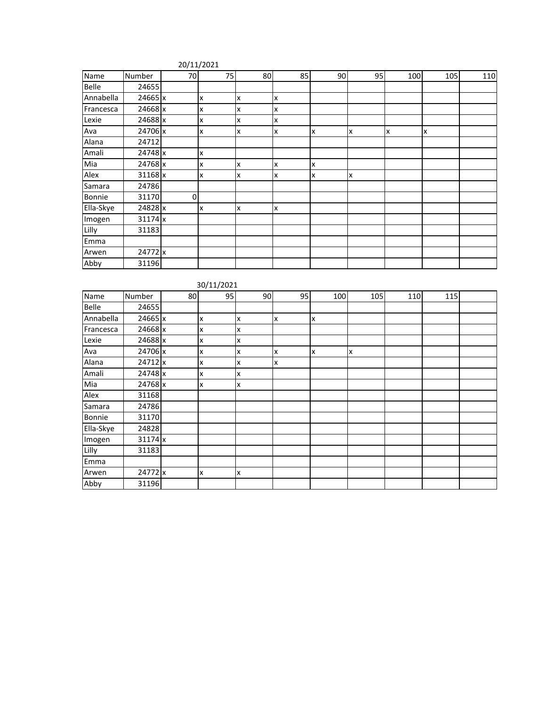| Name      | Number  | 70 | 75 | 80 | 85 | 90 | 95 | 100 | 105 | 110 |
|-----------|---------|----|----|----|----|----|----|-----|-----|-----|
| Belle     | 24655   |    |    |    |    |    |    |     |     |     |
| Annabella | 24665 x |    | X  | x  | x  |    |    |     |     |     |
| Francesca | 24668 x |    | x  | x  | x  |    |    |     |     |     |
| Lexie     | 24688 x |    | x  | x  | x  |    |    |     |     |     |
| Ava       | 24706 x |    | x  | x  | x  | lχ | Ιx | Ιx  | x   |     |
| Alana     | 24712   |    |    |    |    |    |    |     |     |     |
| Amali     | 24748 x |    | X  |    |    |    |    |     |     |     |
| Mia       | 24768 x |    | x  | x  | x  | Ιx |    |     |     |     |
| Alex      | 31168 x |    | X  | x  | x  | X  | x  |     |     |     |
| Samara    | 24786   |    |    |    |    |    |    |     |     |     |
| Bonnie    | 31170   | 0  |    |    |    |    |    |     |     |     |
| Ella-Skye | 24828 x |    | X  | x  | Ιx |    |    |     |     |     |
| Imogen    | 31174 x |    |    |    |    |    |    |     |     |     |
| Lilly     | 31183   |    |    |    |    |    |    |     |     |     |
| Emma      |         |    |    |    |    |    |    |     |     |     |
| Arwen     | 24772 x |    |    |    |    |    |    |     |     |     |
| Abby      | 31196   |    |    |    |    |    |    |     |     |     |

|              |         |    | 30/11/2021 |    |    |     |     |     |     |  |
|--------------|---------|----|------------|----|----|-----|-----|-----|-----|--|
| Name         | Number  | 80 | 95         | 90 | 95 | 100 | 105 | 110 | 115 |  |
| <b>Belle</b> | 24655   |    |            |    |    |     |     |     |     |  |
| Annabella    | 24665 x |    | x          | X  | x  | x   |     |     |     |  |
| Francesca    | 24668 x |    | X          | X  |    |     |     |     |     |  |
| Lexie        | 24688 x |    | X          | X  |    |     |     |     |     |  |
| Ava          | 24706 x |    | X          | X  | X  | x   | Ιx  |     |     |  |
| Alana        | 24712 x |    | X          | X  | x  |     |     |     |     |  |
| Amali        | 24748 x |    | X          | x  |    |     |     |     |     |  |
| Mia          | 24768 x |    | X          | x  |    |     |     |     |     |  |
| Alex         | 31168   |    |            |    |    |     |     |     |     |  |
| Samara       | 24786   |    |            |    |    |     |     |     |     |  |
| Bonnie       | 31170   |    |            |    |    |     |     |     |     |  |
| Ella-Skye    | 24828   |    |            |    |    |     |     |     |     |  |
| Imogen       | 31174 x |    |            |    |    |     |     |     |     |  |
| Lilly        | 31183   |    |            |    |    |     |     |     |     |  |
| Emma         |         |    |            |    |    |     |     |     |     |  |
| Arwen        | 24772 x |    | x          | X  |    |     |     |     |     |  |
| Abby         | 31196   |    |            |    |    |     |     |     |     |  |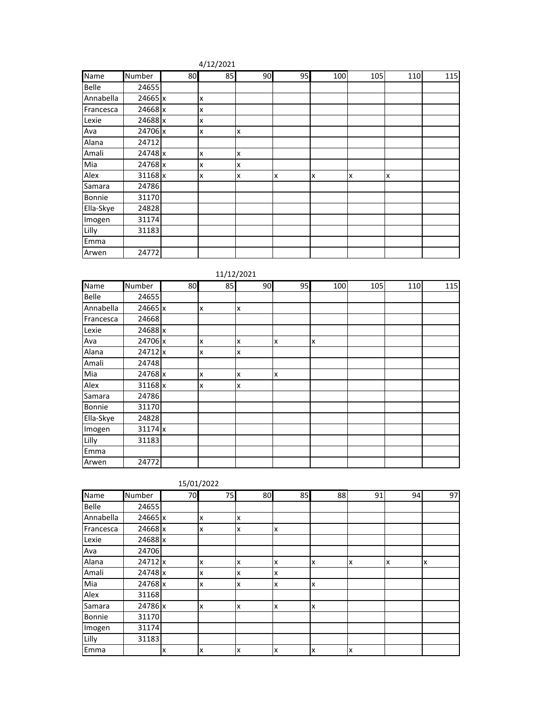| 4/12/2021 |
|-----------|
|-----------|

| <b>Name</b> | Number  | 80 | 85 | 90 | 95 | 100 | 105 | 110 | 115 |
|-------------|---------|----|----|----|----|-----|-----|-----|-----|
| Belle       | 24655   |    |    |    |    |     |     |     |     |
| Annabella   | 24665 x |    | X  |    |    |     |     |     |     |
| Francesca   | 24668 x |    | X  |    |    |     |     |     |     |
| Lexie       | 24688 x |    | X  |    |    |     |     |     |     |
| Ava         | 24706 x |    | X  | x  |    |     |     |     |     |
| Alana       | 24712   |    |    |    |    |     |     |     |     |
| Amali       | 24748 x |    | X  | x  |    |     |     |     |     |
| Mia         | 24768 x |    | X  | x  |    |     |     |     |     |
| Alex        | 31168 x |    | X  | x  | x  | x   | x   | Ιx  |     |
| Samara      | 24786   |    |    |    |    |     |     |     |     |
| Bonnie      | 31170   |    |    |    |    |     |     |     |     |
| Ella-Skye   | 24828   |    |    |    |    |     |     |     |     |
| Imogen      | 31174   |    |    |    |    |     |     |     |     |
| Lilly       | 31183   |    |    |    |    |     |     |     |     |
| Emma        |         |    |    |    |    |     |     |     |     |
| Arwen       | 24772   |    |    |    |    |     |     |     |     |

11/12/2021

| Name      | Number    | 80 | 85 | 90 | 95 | 100 | 105 | 110 | 115 |
|-----------|-----------|----|----|----|----|-----|-----|-----|-----|
| Belle     | 24655     |    |    |    |    |     |     |     |     |
| Annabella | 24665 x   |    | X  | X  |    |     |     |     |     |
| Francesca | 24668     |    |    |    |    |     |     |     |     |
| Lexie     | 24688 x   |    |    |    |    |     |     |     |     |
| Ava       | 24706 x   |    | x  | X  | x  | X   |     |     |     |
| Alana     | 24712 x   |    | X  | X  |    |     |     |     |     |
| Amali     | 24748     |    |    |    |    |     |     |     |     |
| Mia       | 24768 x   |    | X  | X  | x  |     |     |     |     |
| Alex      | 31168 x   |    | X  | X  |    |     |     |     |     |
| Samara    | 24786     |    |    |    |    |     |     |     |     |
| Bonnie    | 31170     |    |    |    |    |     |     |     |     |
| Ella-Skye | 24828     |    |    |    |    |     |     |     |     |
| Imogen    | $31174$ x |    |    |    |    |     |     |     |     |
| Lilly     | 31183     |    |    |    |    |     |     |     |     |
| Emma      |           |    |    |    |    |     |     |     |     |
| Arwen     | 24772     |    |    |    |    |     |     |     |     |

|           |         |    | 15/01/2022 |    |    |    |    |    |    |
|-----------|---------|----|------------|----|----|----|----|----|----|
| Name      | Number  | 70 | 75         | 80 | 85 | 88 | 91 | 94 | 97 |
| Belle     | 24655   |    |            |    |    |    |    |    |    |
| Annabella | 24665 x |    | x          | x  |    |    |    |    |    |
| Francesca | 24668 x |    | x          | x  | lχ |    |    |    |    |
| Lexie     | 24688 x |    |            |    |    |    |    |    |    |
| Ava       | 24706   |    |            |    |    |    |    |    |    |
| Alana     | 24712 x |    | x          | x  | Ιx | x  | x  | Ιx | x  |
| Amali     | 24748 x |    | x          | x  | Ιx |    |    |    |    |
| Mia       | 24768 x |    | x          | x  | Iχ | x  |    |    |    |
| Alex      | 31168   |    |            |    |    |    |    |    |    |
| Samara    | 24786 x |    | X          | x  | Ιx | x  |    |    |    |
| Bonnie    | 31170   |    |            |    |    |    |    |    |    |
| Imogen    | 31174   |    |            |    |    |    |    |    |    |
| Lilly     | 31183   |    |            |    |    |    |    |    |    |
| Emma      |         | Ιx | x          | x  | lχ | x  | x  |    |    |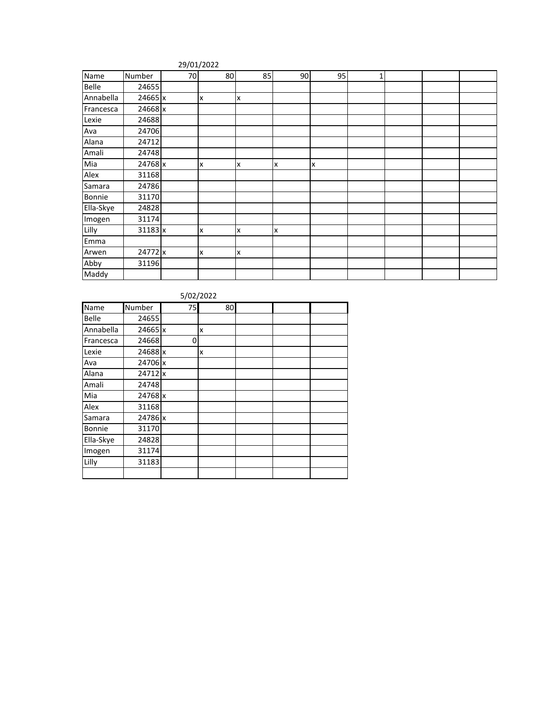#### 29/01/2022

| Name      | Number  | 70 | 80 | 85 | 90 | 95 | 1 |  |  |
|-----------|---------|----|----|----|----|----|---|--|--|
| Belle     | 24655   |    |    |    |    |    |   |  |  |
| Annabella | 24665 x |    | x  | X  |    |    |   |  |  |
| Francesca | 24668 x |    |    |    |    |    |   |  |  |
| Lexie     | 24688   |    |    |    |    |    |   |  |  |
| Ava       | 24706   |    |    |    |    |    |   |  |  |
| Alana     | 24712   |    |    |    |    |    |   |  |  |
| Amali     | 24748   |    |    |    |    |    |   |  |  |
| Mia       | 24768 x |    | X  | x  | x  | x  |   |  |  |
| Alex      | 31168   |    |    |    |    |    |   |  |  |
| Samara    | 24786   |    |    |    |    |    |   |  |  |
| Bonnie    | 31170   |    |    |    |    |    |   |  |  |
| Ella-Skye | 24828   |    |    |    |    |    |   |  |  |
| Imogen    | 31174   |    |    |    |    |    |   |  |  |
| Lilly     | 31183 x |    | X  | x  | x  |    |   |  |  |
| Emma      |         |    |    |    |    |    |   |  |  |
| Arwen     | 24772 x |    | X  | x  |    |    |   |  |  |
| Abby      | 31196   |    |    |    |    |    |   |  |  |
| Maddy     |         |    |    |    |    |    |   |  |  |

5/02/2022

| Name         | Number  | 75 | 80 |  |  |
|--------------|---------|----|----|--|--|
| <b>Belle</b> | 24655   |    |    |  |  |
| Annabella    | 24665 x |    | x  |  |  |
| Francesca    | 24668   | 0  |    |  |  |
| Lexie        | 24688 x |    | x  |  |  |
| Ava          | 24706 x |    |    |  |  |
| Alana        | 24712 x |    |    |  |  |
| Amali        | 24748   |    |    |  |  |
| Mia          | 24768 x |    |    |  |  |
| Alex         | 31168   |    |    |  |  |
| Samara       | 24786 x |    |    |  |  |
| Bonnie       | 31170   |    |    |  |  |
| Ella-Skye    | 24828   |    |    |  |  |
| Imogen       | 31174   |    |    |  |  |
| Lilly        | 31183   |    |    |  |  |
|              |         |    |    |  |  |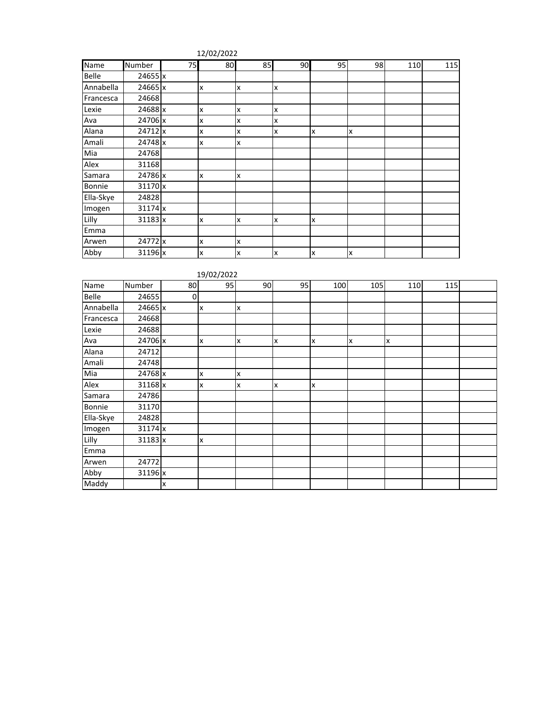| 12/02/2022 |  |
|------------|--|
|------------|--|

| Name      | Number         | 75 | 80                        | 85 | 90 | 95 | 98 | 110 | 115 |
|-----------|----------------|----|---------------------------|----|----|----|----|-----|-----|
| Belle     | 24655 x        |    |                           |    |    |    |    |     |     |
| Annabella | 24665 x        |    | X                         | x  | x  |    |    |     |     |
| Francesca | 24668          |    |                           |    |    |    |    |     |     |
| Lexie     | 24688 x        |    | x                         | x  | x  |    |    |     |     |
| Ava       | 24706 x        |    | X                         | x  | x  |    |    |     |     |
| Alana     | 24712 x        |    | x                         | x  | x  | x  | X  |     |     |
| Amali     | 24748 x        |    | x                         | x  |    |    |    |     |     |
| Mia       | 24768          |    |                           |    |    |    |    |     |     |
| Alex      | 31168          |    |                           |    |    |    |    |     |     |
| Samara    | 24786 x        |    | x                         | x  |    |    |    |     |     |
| Bonnie    | 31170 x        |    |                           |    |    |    |    |     |     |
| Ella-Skye | 24828          |    |                           |    |    |    |    |     |     |
| Imogen    | 31174 x        |    |                           |    |    |    |    |     |     |
| Lilly     | $31183 \times$ |    | x                         | x  | x  | x  |    |     |     |
| Emma      |                |    |                           |    |    |    |    |     |     |
| Arwen     | 24772 x        |    | X                         | x  |    |    |    |     |     |
| Abby      | 31196 x        |    | $\boldsymbol{\mathsf{x}}$ | x  | x  | X  | lx |     |     |

|           |         |    | 19/02/2022 |    |    |     |     |     |     |  |
|-----------|---------|----|------------|----|----|-----|-----|-----|-----|--|
| Name      | Number  | 80 | 95         | 90 | 95 | 100 | 105 | 110 | 115 |  |
| Belle     | 24655   | 0  |            |    |    |     |     |     |     |  |
| Annabella | 24665 x |    | X          | x  |    |     |     |     |     |  |
| Francesca | 24668   |    |            |    |    |     |     |     |     |  |
| Lexie     | 24688   |    |            |    |    |     |     |     |     |  |
| Ava       | 24706 x |    | X          | x  | x  | Ιx  | x   | x   |     |  |
| Alana     | 24712   |    |            |    |    |     |     |     |     |  |
| Amali     | 24748   |    |            |    |    |     |     |     |     |  |
| Mia       | 24768 x |    | X          | x  |    |     |     |     |     |  |
| Alex      | 31168 x |    | X          | x  | x  | Ιx  |     |     |     |  |
| Samara    | 24786   |    |            |    |    |     |     |     |     |  |
| Bonnie    | 31170   |    |            |    |    |     |     |     |     |  |
| Ella-Skye | 24828   |    |            |    |    |     |     |     |     |  |
| Imogen    | 31174 x |    |            |    |    |     |     |     |     |  |
| Lilly     | 31183 x |    | x          |    |    |     |     |     |     |  |
| Emma      |         |    |            |    |    |     |     |     |     |  |
| Arwen     | 24772   |    |            |    |    |     |     |     |     |  |
| Abby      | 31196 x |    |            |    |    |     |     |     |     |  |
| Maddy     |         | X  |            |    |    |     |     |     |     |  |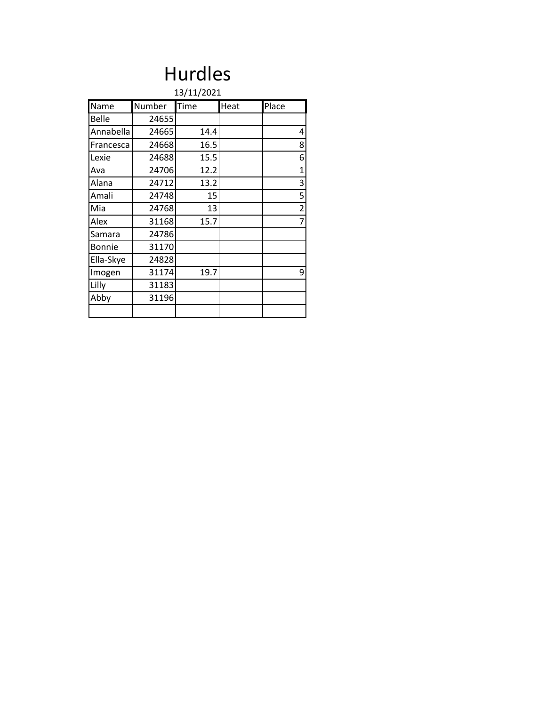## Hurdles

|              | 13/11/2021 |      |      |                |  |  |  |  |  |  |  |  |
|--------------|------------|------|------|----------------|--|--|--|--|--|--|--|--|
| Name         | Number     | Time | Heat | Place          |  |  |  |  |  |  |  |  |
| <b>Belle</b> | 24655      |      |      |                |  |  |  |  |  |  |  |  |
| Annabella    | 24665      | 14.4 |      | 4              |  |  |  |  |  |  |  |  |
| Francesca    | 24668      | 16.5 |      | 8              |  |  |  |  |  |  |  |  |
| Lexie        | 24688      | 15.5 |      | 6              |  |  |  |  |  |  |  |  |
| Ava          | 24706      | 12.2 |      | 1              |  |  |  |  |  |  |  |  |
| Alana        | 24712      | 13.2 |      | 3              |  |  |  |  |  |  |  |  |
| Amali        | 24748      | 15   |      | 5              |  |  |  |  |  |  |  |  |
| <b>Mia</b>   | 24768      | 13   |      | $\overline{c}$ |  |  |  |  |  |  |  |  |
| <b>Alex</b>  | 31168      | 15.7 |      | $\overline{7}$ |  |  |  |  |  |  |  |  |
| Samara       | 24786      |      |      |                |  |  |  |  |  |  |  |  |
| Bonnie       | 31170      |      |      |                |  |  |  |  |  |  |  |  |
| Ella-Skye    | 24828      |      |      |                |  |  |  |  |  |  |  |  |
| Imogen       | 31174      | 19.7 |      | 9              |  |  |  |  |  |  |  |  |
| Lilly        | 31183      |      |      |                |  |  |  |  |  |  |  |  |
| Abby         | 31196      |      |      |                |  |  |  |  |  |  |  |  |
|              |            |      |      |                |  |  |  |  |  |  |  |  |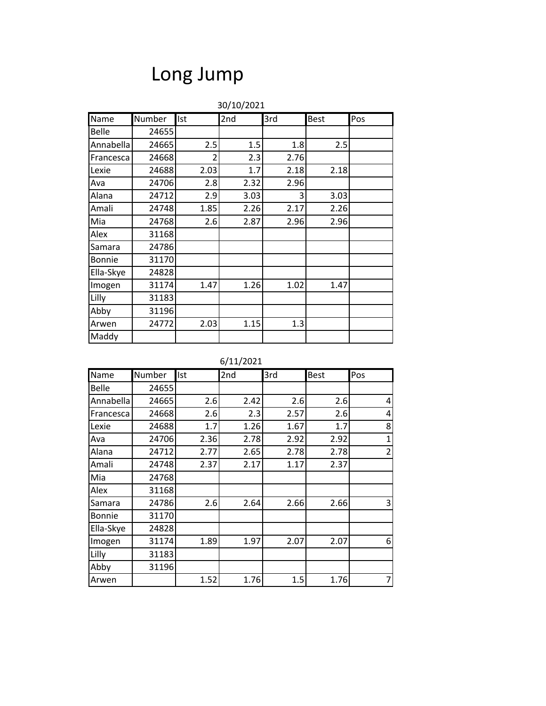## Long Jump

|              | 30/10/2021 |                |      |      |             |     |  |  |  |  |
|--------------|------------|----------------|------|------|-------------|-----|--|--|--|--|
| Name         | Number     | Ist            | 2nd  | 3rd  | <b>Best</b> | Pos |  |  |  |  |
| <b>Belle</b> | 24655      |                |      |      |             |     |  |  |  |  |
| Annabella    | 24665      | 2.5            | 1.5  | 1.8  | 2.5         |     |  |  |  |  |
| Francesca    | 24668      | $\overline{2}$ | 2.3  | 2.76 |             |     |  |  |  |  |
| Lexie        | 24688      | 2.03           | 1.7  | 2.18 | 2.18        |     |  |  |  |  |
| Ava          | 24706      | 2.8            | 2.32 | 2.96 |             |     |  |  |  |  |
| Alana        | 24712      | 2.9            | 3.03 | 3    | 3.03        |     |  |  |  |  |
| Amali        | 24748      | 1.85           | 2.26 | 2.17 | 2.26        |     |  |  |  |  |
| Mia          | 24768      | 2.6            | 2.87 | 2.96 | 2.96        |     |  |  |  |  |
| Alex         | 31168      |                |      |      |             |     |  |  |  |  |
| Samara       | 24786      |                |      |      |             |     |  |  |  |  |
| Bonnie       | 31170      |                |      |      |             |     |  |  |  |  |
| Ella-Skye    | 24828      |                |      |      |             |     |  |  |  |  |
| Imogen       | 31174      | 1.47           | 1.26 | 1.02 | 1.47        |     |  |  |  |  |
| Lilly        | 31183      |                |      |      |             |     |  |  |  |  |
| Abby         | 31196      |                |      |      |             |     |  |  |  |  |
| Arwen        | 24772      | 2.03           | 1.15 | 1.3  |             |     |  |  |  |  |
| Maddy        |            |                |      |      |             |     |  |  |  |  |

6/11/2021

| Name      | Number | Ist  | 2nd  | 3rd  | <b>Best</b> | Pos            |
|-----------|--------|------|------|------|-------------|----------------|
| Belle     | 24655  |      |      |      |             |                |
| Annabella | 24665  | 2.6  | 2.42 | 2.6  | 2.6         | 4              |
| Francesca | 24668  | 2.6  | 2.3  | 2.57 | 2.6         | 4              |
| Lexie     | 24688  | 1.7  | 1.26 | 1.67 | 1.7         | 8              |
| Ava       | 24706  | 2.36 | 2.78 | 2.92 | 2.92        | $\mathbf{1}$   |
| Alana     | 24712  | 2.77 | 2.65 | 2.78 | 2.78        | $\overline{2}$ |
| Amali     | 24748  | 2.37 | 2.17 | 1.17 | 2.37        |                |
| Mia       | 24768  |      |      |      |             |                |
| Alex      | 31168  |      |      |      |             |                |
| Samara    | 24786  | 2.6  | 2.64 | 2.66 | 2.66        | 3              |
| Bonnie    | 31170  |      |      |      |             |                |
| Ella-Skye | 24828  |      |      |      |             |                |
| Imogen    | 31174  | 1.89 | 1.97 | 2.07 | 2.07        | 6              |
| Lilly     | 31183  |      |      |      |             |                |
| Abby      | 31196  |      |      |      |             |                |
| Arwen     |        | 1.52 | 1.76 | 1.5  | 1.76        | $\overline{7}$ |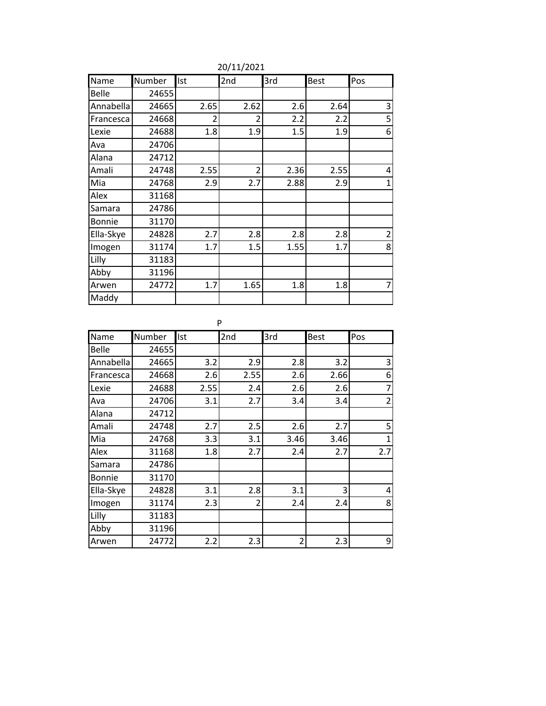| Name          | Number | Ist  | 2nd                      | 3rd  | <b>Best</b> | Pos            |
|---------------|--------|------|--------------------------|------|-------------|----------------|
| Belle         | 24655  |      |                          |      |             |                |
| Annabella     | 24665  | 2.65 | 2.62                     | 2.6  | 2.64        | 3              |
| Francesca     | 24668  | 2    | 2                        | 2.2  | 2.2         | 5              |
| Lexie         | 24688  | 1.8  | 1.9                      | 1.5  | 1.9         | 6              |
| Ava           | 24706  |      |                          |      |             |                |
| Alana         | 24712  |      |                          |      |             |                |
| Amali         | 24748  | 2.55 | $\overline{\phantom{a}}$ | 2.36 | 2.55        | 4              |
| Mia           | 24768  | 2.9  | 2.7                      | 2.88 | 2.9         | $\mathbf{1}$   |
| Alex          | 31168  |      |                          |      |             |                |
| Samara        | 24786  |      |                          |      |             |                |
| <b>Bonnie</b> | 31170  |      |                          |      |             |                |
| Ella-Skye     | 24828  | 2.7  | 2.8                      | 2.8  | 2.8         | $\overline{c}$ |
| Imogen        | 31174  | 1.7  | 1.5                      | 1.55 | 1.7         | 8              |
| Lilly         | 31183  |      |                          |      |             |                |
| Abby          | 31196  |      |                          |      |             |                |
| Arwen         | 24772  | 1.7  | 1.65                     | 1.8  | 1.8         | 7              |
| Maddy         |        |      |                          |      |             |                |

20/11/2021

P

| Name         | Number | Ist  | 2nd            | 3rd  | <b>Best</b> | Pos            |
|--------------|--------|------|----------------|------|-------------|----------------|
| <b>Belle</b> | 24655  |      |                |      |             |                |
| Annabella    | 24665  | 3.2  | 2.9            | 2.8  | 3.2         | 3              |
| Francesca    | 24668  | 2.6  | 2.55           | 2.6  | 2.66        | 6              |
| Lexie        | 24688  | 2.55 | 2.4            | 2.6  | 2.6         | 7              |
| Ava          | 24706  | 3.1  | 2.7            | 3.4  | 3.4         | $\overline{2}$ |
| Alana        | 24712  |      |                |      |             |                |
| Amali        | 24748  | 2.7  | 2.5            | 2.6  | 2.7         | 5              |
| Mia          | 24768  | 3.3  | 3.1            | 3.46 | 3.46        | $\overline{1}$ |
| Alex         | 31168  | 1.8  | 2.7            | 2.4  | 2.7         | 2.7            |
| Samara       | 24786  |      |                |      |             |                |
| Bonnie       | 31170  |      |                |      |             |                |
| Ella-Skye    | 24828  | 3.1  | 2.8            | 3.1  | 3           | 4              |
| Imogen       | 31174  | 2.3  | $\overline{2}$ | 2.4  | 2.4         | 8              |
| Lilly        | 31183  |      |                |      |             |                |
| Abby         | 31196  |      |                |      |             |                |
| Arwen        | 24772  | 2.2  | 2.3            | 2    | 2.3         | 9              |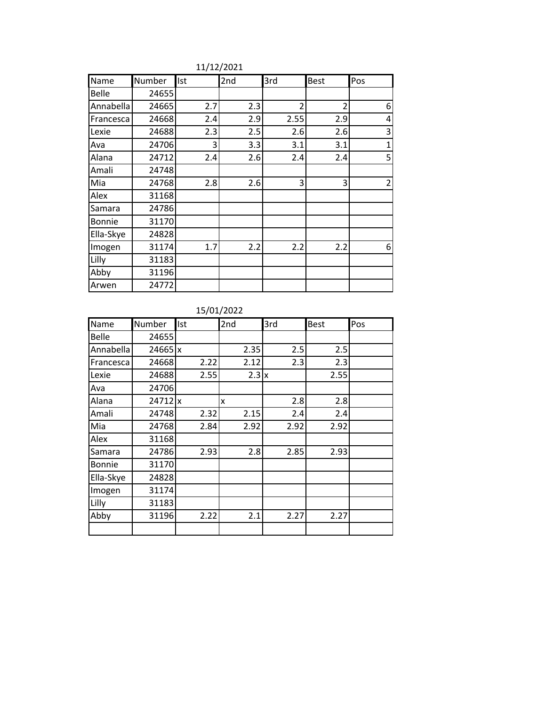| Name         | Number | Ist | 2nd | 3rd  | <b>Best</b>    | Pos            |
|--------------|--------|-----|-----|------|----------------|----------------|
| <b>Belle</b> | 24655  |     |     |      |                |                |
| Annabella    | 24665  | 2.7 | 2.3 | 2    | $\overline{2}$ | 6              |
| Francesca    | 24668  | 2.4 | 2.9 | 2.55 | 2.9            | 4              |
| Lexie        | 24688  | 2.3 | 2.5 | 2.6  | 2.6            | 3              |
| Ava          | 24706  | 3   | 3.3 | 3.1  | 3.1            | $\mathbf{1}$   |
| Alana        | 24712  | 2.4 | 2.6 | 2.4  | 2.4            | 5              |
| Amali        | 24748  |     |     |      |                |                |
| Mia          | 24768  | 2.8 | 2.6 | 3    | 3              | $\overline{2}$ |
| Alex         | 31168  |     |     |      |                |                |
| Samara       | 24786  |     |     |      |                |                |
| Bonnie       | 31170  |     |     |      |                |                |
| Ella-Skye    | 24828  |     |     |      |                |                |
| Imogen       | 31174  | 1.7 | 2.2 | 2.2  | 2.2            | 6              |
| Lilly        | 31183  |     |     |      |                |                |
| Abby         | 31196  |     |     |      |                |                |
| Arwen        | 24772  |     |     |      |                |                |

11/12/2021

#### 15/01/2022

| Name         | Number    | Ist  | 2nd          | 3rd  | <b>Best</b> | Pos |
|--------------|-----------|------|--------------|------|-------------|-----|
| <b>Belle</b> | 24655     |      |              |      |             |     |
| Annabella    | $24665$ x |      | 2.35         | 2.5  | 2.5         |     |
| Francesca    | 24668     | 2.22 | 2.12         | 2.3  | 2.3         |     |
| Lexie        | 24688     | 2.55 | $2.3 \times$ |      | 2.55        |     |
| Ava          | 24706     |      |              |      |             |     |
| Alana        | 24712 x   |      | x            | 2.8  | 2.8         |     |
| Amali        | 24748     | 2.32 | 2.15         | 2.4  | 2.4         |     |
| Mia          | 24768     | 2.84 | 2.92         | 2.92 | 2.92        |     |
| Alex         | 31168     |      |              |      |             |     |
| Samara       | 24786     | 2.93 | 2.8          | 2.85 | 2.93        |     |
| Bonnie       | 31170     |      |              |      |             |     |
| Ella-Skye    | 24828     |      |              |      |             |     |
| Imogen       | 31174     |      |              |      |             |     |
| Lilly        | 31183     |      |              |      |             |     |
| Abby         | 31196     | 2.22 | 2.1          | 2.27 | 2.27        |     |
|              |           |      |              |      |             |     |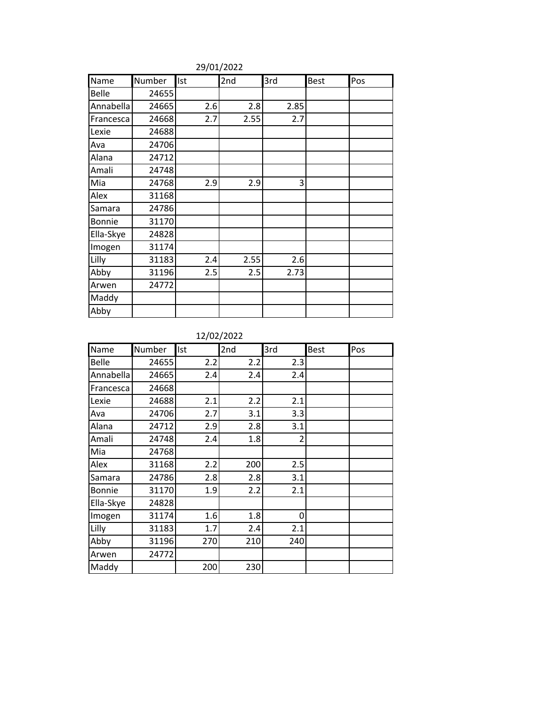| Name      | Number | Ist | 2nd  | 3rd  | <b>Best</b> | Pos |
|-----------|--------|-----|------|------|-------------|-----|
| Belle     | 24655  |     |      |      |             |     |
| Annabella | 24665  | 2.6 | 2.8  | 2.85 |             |     |
| Francesca | 24668  | 2.7 | 2.55 | 2.7  |             |     |
| Lexie     | 24688  |     |      |      |             |     |
| Ava       | 24706  |     |      |      |             |     |
| Alana     | 24712  |     |      |      |             |     |
| Amali     | 24748  |     |      |      |             |     |
| Mia       | 24768  | 2.9 | 2.9  | 3    |             |     |
| Alex      | 31168  |     |      |      |             |     |
| Samara    | 24786  |     |      |      |             |     |
| Bonnie    | 31170  |     |      |      |             |     |
| Ella-Skye | 24828  |     |      |      |             |     |
| Imogen    | 31174  |     |      |      |             |     |
| Lilly     | 31183  | 2.4 | 2.55 | 2.6  |             |     |
| Abby      | 31196  | 2.5 | 2.5  | 2.73 |             |     |
| Arwen     | 24772  |     |      |      |             |     |
| Maddy     |        |     |      |      |             |     |
| Abby      |        |     |      |      |             |     |

29/01/2022

12/02/2022

| Name         | Number | Ist | 2nd | 3rd | <b>Best</b> | Pos |
|--------------|--------|-----|-----|-----|-------------|-----|
| <b>Belle</b> | 24655  | 2.2 | 2.2 | 2.3 |             |     |
| Annabella    | 24665  | 2.4 | 2.4 | 2.4 |             |     |
| Francesca    | 24668  |     |     |     |             |     |
| Lexie        | 24688  | 2.1 | 2.2 | 2.1 |             |     |
| Ava          | 24706  | 2.7 | 3.1 | 3.3 |             |     |
| Alana        | 24712  | 2.9 | 2.8 | 3.1 |             |     |
| Amali        | 24748  | 2.4 | 1.8 | 2   |             |     |
| Mia          | 24768  |     |     |     |             |     |
| Alex         | 31168  | 2.2 | 200 | 2.5 |             |     |
| Samara       | 24786  | 2.8 | 2.8 | 3.1 |             |     |
| Bonnie       | 31170  | 1.9 | 2.2 | 2.1 |             |     |
| Ella-Skye    | 24828  |     |     |     |             |     |
| Imogen       | 31174  | 1.6 | 1.8 | 0   |             |     |
| Lilly        | 31183  | 1.7 | 2.4 | 2.1 |             |     |
| Abby         | 31196  | 270 | 210 | 240 |             |     |
| Arwen        | 24772  |     |     |     |             |     |
| Maddy        |        | 200 | 230 |     |             |     |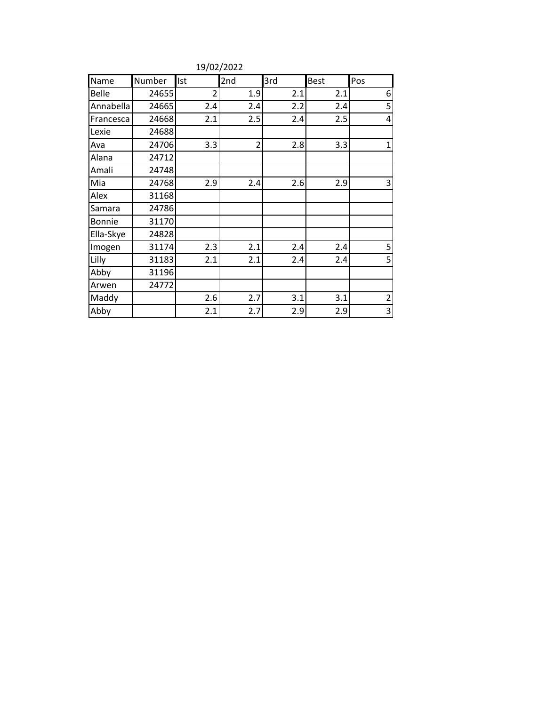| Name      | Number | Ist            | 2nd            | 3rd | Best | Pos            |
|-----------|--------|----------------|----------------|-----|------|----------------|
| Belle     | 24655  | $\overline{2}$ | 1.9            | 2.1 | 2.1  | 6              |
| Annabella | 24665  | 2.4            | 2.4            | 2.2 | 2.4  | 5              |
| Francesca | 24668  | 2.1            | 2.5            | 2.4 | 2.5  | 4              |
| Lexie     | 24688  |                |                |     |      |                |
| Ava       | 24706  | 3.3            | $\overline{2}$ | 2.8 | 3.3  | $\mathbf{1}$   |
| Alana     | 24712  |                |                |     |      |                |
| Amali     | 24748  |                |                |     |      |                |
| Mia       | 24768  | 2.9            | 2.4            | 2.6 | 2.9  | 3              |
| Alex      | 31168  |                |                |     |      |                |
| Samara    | 24786  |                |                |     |      |                |
| Bonnie    | 31170  |                |                |     |      |                |
| Ella-Skye | 24828  |                |                |     |      |                |
| Imogen    | 31174  | 2.3            | 2.1            | 2.4 | 2.4  | 5              |
| Lilly     | 31183  | 2.1            | 2.1            | 2.4 | 2.4  | 5              |
| Abby      | 31196  |                |                |     |      |                |
| Arwen     | 24772  |                |                |     |      |                |
| Maddy     |        | 2.6            | 2.7            | 3.1 | 3.1  | $\overline{2}$ |
| Abby      |        | 2.1            | 2.7            | 2.9 | 2.9  | 3              |

19/02/2022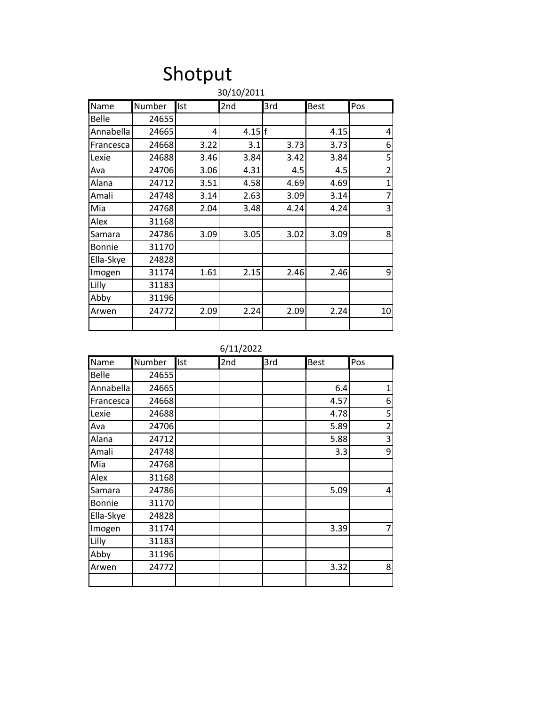### Shotput 30/10/2011

|              | <b>JUILUIZUIL</b> |      |      |      |             |                |  |
|--------------|-------------------|------|------|------|-------------|----------------|--|
| Name         | Number            | Ist  | 2nd  | 3rd  | <b>Best</b> | Pos            |  |
| <b>Belle</b> | 24655             |      |      |      |             |                |  |
| Annabella    | 24665             | 4    | 4.15 |      | 4.15        | 4              |  |
| Francesca    | 24668             | 3.22 | 3.1  | 3.73 | 3.73        | 6              |  |
| Lexie        | 24688             | 3.46 | 3.84 | 3.42 | 3.84        | 5              |  |
| Ava          | 24706             | 3.06 | 4.31 | 4.5  | 4.5         | $\overline{2}$ |  |
| Alana        | 24712             | 3.51 | 4.58 | 4.69 | 4.69        | $\mathbf{1}$   |  |
| Amali        | 24748             | 3.14 | 2.63 | 3.09 | 3.14        | $\overline{7}$ |  |
| Mia          | 24768             | 2.04 | 3.48 | 4.24 | 4.24        | 3              |  |
| Alex         | 31168             |      |      |      |             |                |  |
| Samara       | 24786             | 3.09 | 3.05 | 3.02 | 3.09        | 8              |  |
| Bonnie       | 31170             |      |      |      |             |                |  |
| Ella-Skye    | 24828             |      |      |      |             |                |  |
| Imogen       | 31174             | 1.61 | 2.15 | 2.46 | 2.46        | 9              |  |
| Lilly        | 31183             |      |      |      |             |                |  |
| Abby         | 31196             |      |      |      |             |                |  |
| Arwen        | 24772             | 2.09 | 2.24 | 2.09 | 2.24        | 10             |  |
|              |                   |      |      |      |             |                |  |

6/11/2022

| Name      | Number | Ist | 2nd | 3rd | <b>Best</b> | Pos                     |
|-----------|--------|-----|-----|-----|-------------|-------------------------|
| Belle     | 24655  |     |     |     |             |                         |
| Annabella | 24665  |     |     |     | 6.4         | 1                       |
| Francesca | 24668  |     |     |     | 4.57        | 6                       |
| Lexie     | 24688  |     |     |     | 4.78        | 5                       |
| Ava       | 24706  |     |     |     | 5.89        | $\overline{\mathbf{c}}$ |
| Alana     | 24712  |     |     |     | 5.88        | 3                       |
| Amali     | 24748  |     |     |     | 3.3         | 9                       |
| Mia       | 24768  |     |     |     |             |                         |
| Alex      | 31168  |     |     |     |             |                         |
| Samara    | 24786  |     |     |     | 5.09        | 4                       |
| Bonnie    | 31170  |     |     |     |             |                         |
| Ella-Skye | 24828  |     |     |     |             |                         |
| Imogen    | 31174  |     |     |     | 3.39        | 7                       |
| Lilly     | 31183  |     |     |     |             |                         |
| Abby      | 31196  |     |     |     |             |                         |
| Arwen     | 24772  |     |     |     | 3.32        | 8                       |
|           |        |     |     |     |             |                         |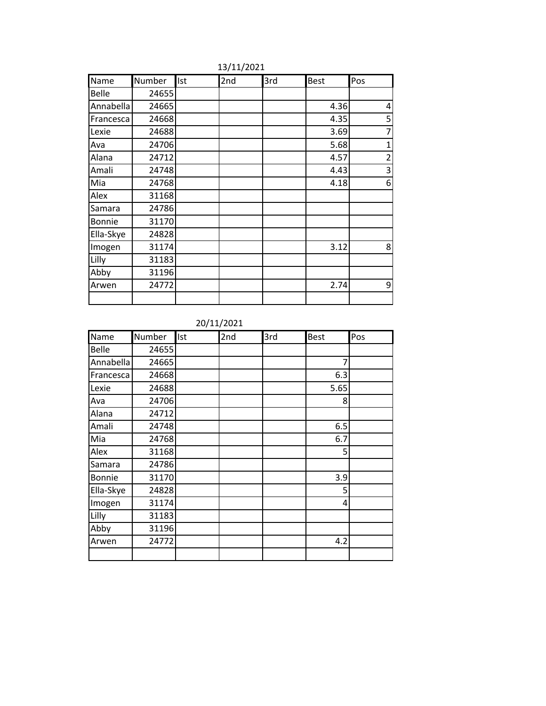| Name      | Number | <b>Ist</b> | 2nd | 3rd | <b>Best</b> | Pos            |
|-----------|--------|------------|-----|-----|-------------|----------------|
| Belle     | 24655  |            |     |     |             |                |
| Annabella | 24665  |            |     |     | 4.36        | 4              |
| Francesca | 24668  |            |     |     | 4.35        | 5              |
| Lexie     | 24688  |            |     |     | 3.69        | 7              |
| Ava       | 24706  |            |     |     | 5.68        | 1              |
| Alana     | 24712  |            |     |     | 4.57        | $\overline{2}$ |
| Amali     | 24748  |            |     |     | 4.43        | 3              |
| Mia       | 24768  |            |     |     | 4.18        | 6              |
| Alex      | 31168  |            |     |     |             |                |
| Samara    | 24786  |            |     |     |             |                |
| Bonnie    | 31170  |            |     |     |             |                |
| Ella-Skye | 24828  |            |     |     |             |                |
| Imogen    | 31174  |            |     |     | 3.12        | 8              |
| Lilly     | 31183  |            |     |     |             |                |
| Abby      | 31196  |            |     |     |             |                |
| Arwen     | 24772  |            |     |     | 2.74        | 9              |
|           |        |            |     |     |             |                |

13/11/2021

20/11/2021

| Name      | Number | Ist | 2nd | 3rd | <b>Best</b> | Pos |
|-----------|--------|-----|-----|-----|-------------|-----|
| Belle     | 24655  |     |     |     |             |     |
| Annabella | 24665  |     |     |     | 7           |     |
| Francesca | 24668  |     |     |     | 6.3         |     |
| Lexie     | 24688  |     |     |     | 5.65        |     |
| Ava       | 24706  |     |     |     | 8           |     |
| Alana     | 24712  |     |     |     |             |     |
| Amali     | 24748  |     |     |     | 6.5         |     |
| Mia       | 24768  |     |     |     | 6.7         |     |
| Alex      | 31168  |     |     |     | 5           |     |
| Samara    | 24786  |     |     |     |             |     |
| Bonnie    | 31170  |     |     |     | 3.9         |     |
| Ella-Skye | 24828  |     |     |     | 5           |     |
| Imogen    | 31174  |     |     |     | 4           |     |
| Lilly     | 31183  |     |     |     |             |     |
| Abby      | 31196  |     |     |     |             |     |
| Arwen     | 24772  |     |     |     | 4.2         |     |
|           |        |     |     |     |             |     |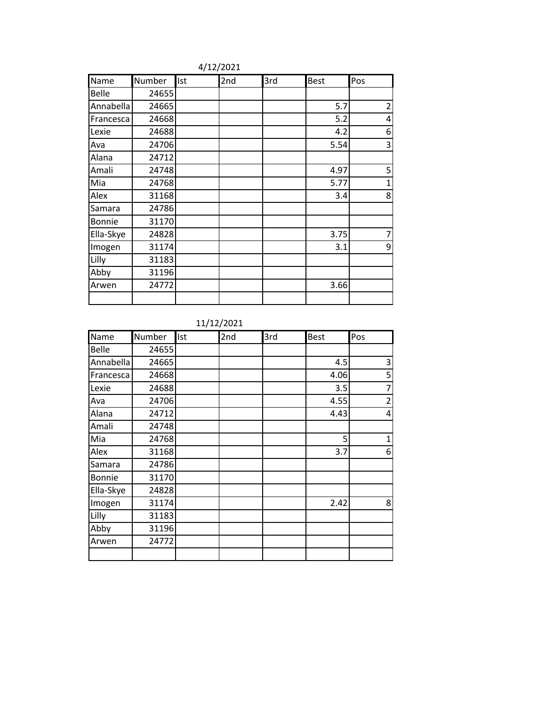| Name         | Number | Ist | 2nd | 3rd | <b>Best</b> | Pos            |
|--------------|--------|-----|-----|-----|-------------|----------------|
| <b>Belle</b> | 24655  |     |     |     |             |                |
| Annabella    | 24665  |     |     |     | 5.7         | $\overline{2}$ |
| Francesca    | 24668  |     |     |     | 5.2         | 4              |
| Lexie        | 24688  |     |     |     | 4.2         | 6              |
| Ava          | 24706  |     |     |     | 5.54        | 3              |
| Alana        | 24712  |     |     |     |             |                |
| Amali        | 24748  |     |     |     | 4.97        | 5              |
| Mia          | 24768  |     |     |     | 5.77        | $\mathbf{1}$   |
| Alex         | 31168  |     |     |     | 3.4         | 8              |
| Samara       | 24786  |     |     |     |             |                |
| Bonnie       | 31170  |     |     |     |             |                |
| Ella-Skye    | 24828  |     |     |     | 3.75        | 7              |
| Imogen       | 31174  |     |     |     | 3.1         | 9              |
| Lilly        | 31183  |     |     |     |             |                |
| Abby         | 31196  |     |     |     |             |                |
| Arwen        | 24772  |     |     |     | 3.66        |                |
|              |        |     |     |     |             |                |

4/12/2021

11/12/2021

| Name      | Number | Ist | 2nd | 3rd | <b>Best</b> | Pos            |
|-----------|--------|-----|-----|-----|-------------|----------------|
| Belle     | 24655  |     |     |     |             |                |
| Annabella | 24665  |     |     |     | 4.5         | 3              |
| Francesca | 24668  |     |     |     | 4.06        | 5              |
| Lexie     | 24688  |     |     |     | 3.5         | 7              |
| Ava       | 24706  |     |     |     | 4.55        | $\overline{c}$ |
| Alana     | 24712  |     |     |     | 4.43        | 4              |
| Amali     | 24748  |     |     |     |             |                |
| Mia       | 24768  |     |     |     | 5           | $\mathbf{1}$   |
| Alex      | 31168  |     |     |     | 3.7         | 6              |
| Samara    | 24786  |     |     |     |             |                |
| Bonnie    | 31170  |     |     |     |             |                |
| Ella-Skye | 24828  |     |     |     |             |                |
| Imogen    | 31174  |     |     |     | 2.42        | 8              |
| Lilly     | 31183  |     |     |     |             |                |
| Abby      | 31196  |     |     |     |             |                |
| Arwen     | 24772  |     |     |     |             |                |
|           |        |     |     |     |             |                |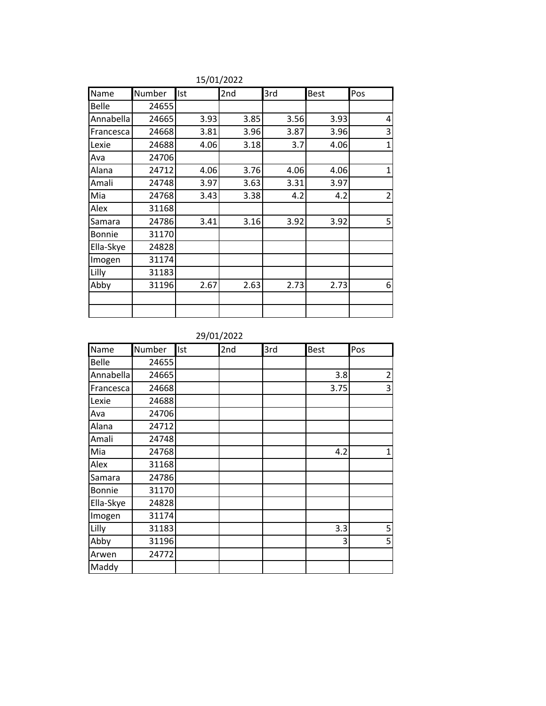| Name          | Number | Ist  | 2nd  | 3rd  | <b>Best</b> | Pos          |
|---------------|--------|------|------|------|-------------|--------------|
| <b>Belle</b>  | 24655  |      |      |      |             |              |
| Annabella     | 24665  | 3.93 | 3.85 | 3.56 | 3.93        | 4            |
| Francesca     | 24668  | 3.81 | 3.96 | 3.87 | 3.96        | 3            |
| Lexie         | 24688  | 4.06 | 3.18 | 3.7  | 4.06        | $\mathbf{1}$ |
| Ava           | 24706  |      |      |      |             |              |
| Alana         | 24712  | 4.06 | 3.76 | 4.06 | 4.06        | 1            |
| Amali         | 24748  | 3.97 | 3.63 | 3.31 | 3.97        |              |
| Mia           | 24768  | 3.43 | 3.38 | 4.2  | 4.2         | 2            |
| Alex          | 31168  |      |      |      |             |              |
| Samara        | 24786  | 3.41 | 3.16 | 3.92 | 3.92        | 5            |
| <b>Bonnie</b> | 31170  |      |      |      |             |              |
| Ella-Skye     | 24828  |      |      |      |             |              |
| Imogen        | 31174  |      |      |      |             |              |
| Lilly         | 31183  |      |      |      |             |              |
| Abby          | 31196  | 2.67 | 2.63 | 2.73 | 2.73        | 6            |
|               |        |      |      |      |             |              |
|               |        |      |      |      |             |              |

15/01/2022

29/01/2022

| Name      | Number | Ist | 2nd | 3rd | <b>Best</b> | Pos            |
|-----------|--------|-----|-----|-----|-------------|----------------|
| Belle     | 24655  |     |     |     |             |                |
| Annabella | 24665  |     |     |     | 3.8         | $\overline{2}$ |
| Francesca | 24668  |     |     |     | 3.75        | 3              |
| Lexie     | 24688  |     |     |     |             |                |
| Ava       | 24706  |     |     |     |             |                |
| Alana     | 24712  |     |     |     |             |                |
| Amali     | 24748  |     |     |     |             |                |
| Mia       | 24768  |     |     |     | 4.2         | 1              |
| Alex      | 31168  |     |     |     |             |                |
| Samara    | 24786  |     |     |     |             |                |
| Bonnie    | 31170  |     |     |     |             |                |
| Ella-Skye | 24828  |     |     |     |             |                |
| Imogen    | 31174  |     |     |     |             |                |
| Lilly     | 31183  |     |     |     | 3.3         | 5              |
| Abby      | 31196  |     |     |     | 3           | 5              |
| Arwen     | 24772  |     |     |     |             |                |
| Maddy     |        |     |     |     |             |                |